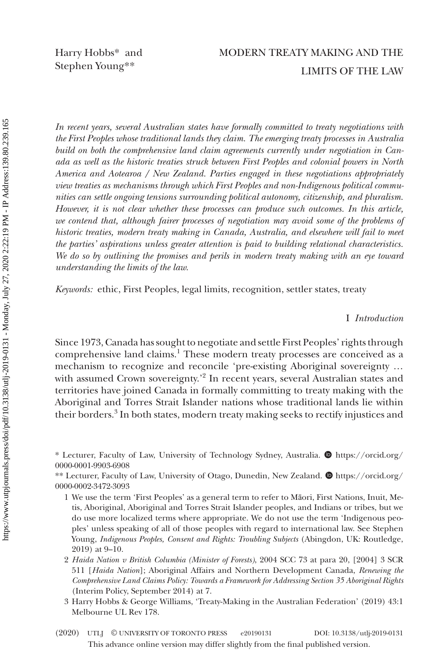Harry Hobbs\* and Stephen Young\*\*

# MODERN TREATY MAKING AND THE LIMITS OF THE LAW

*In recent years, several Australian states have formally committed to treaty negotiations with the First Peoples whose traditional lands they claim. The emerging treaty processes in Australia build on both the comprehensive land claim agreements currently under negotiation in Canada as well as the historic treaties struck between First Peoples and colonial powers in North America and Aotearoa / New Zealand. Parties engaged in these negotiations appropriately view treaties as mechanisms through which First Peoples and non-Indigenous political communities can settle ongoing tensions surrounding political autonomy, citizenship, and pluralism. However, it is not clear whether these processes can produce such outcomes. In this article,*  we contend that, although fairer processes of negotiation may avoid some of the problems of *historic treaties, modern treaty making in Canada, Australia, and elsewhere will fail to meet the parties' aspirations unless greater attention is paid to building relational characteristics. We do so by outlining the promises and perils in modern treaty making with an eye toward understanding the limits of the law.*

*Keywords:* ethic, First Peoples, legal limits, recognition, settler states, treaty

I *Introduction*

Since 1973, Canada has sought to negotiate and settle First Peoples' rights through comprehensive land claims.<sup>1</sup> These modern treaty processes are conceived as a mechanism to recognize and reconcile 'pre-existing Aboriginal sovereignty … with assumed Crown sovereignty.'<sup>2</sup> In recent years, several Australian states and territories have joined Canada in formally committing to treaty making with the Aboriginal and Torres Strait Islander nations whose traditional lands lie within their borders.<sup>3</sup> In both states, modern treaty making seeks to rectify injustices and

\* Lecturer, Faculty of Law, University of Technology Sydney, Australia.  $\bullet$  [https://orcid.org/](https://orcid.org/
0000-0001-9903-6908) [0000-0001-9903-6908](https://orcid.org/
0000-0001-9903-6908)

\*\* Lecturer, Faculty of Law, University of Otago, Dunedin, New Zealand.  $\bullet$  [https://orcid.org/](https://orcid.org/
0000-0002-3472-3093) [0000-0002-3472-3093](https://orcid.org/
0000-0002-3472-3093)

- 1 We use the term 'First Peoples' as a general term to refer to Māori, First Nations, Inuit, Metis, Aboriginal, Aboriginal and Torres Strait Islander peoples, and Indians or tribes, but we do use more localized terms where appropriate. We do not use the term 'Indigenous peoples' unless speaking of all of those peoples with regard to international law. See Stephen Young, *Indigenous Peoples, Consent and Rights: Troubling Subjects* (Abingdon, UK: Routledge, 2019) at 9–10.
- 2 *Haida Nation v British Columbia (Minister of Forests)*, 2004 SCC 73 at para 20, [2004] 3 SCR 511 [*Haida Nation*]; Aboriginal Affairs and Northern Development Canada, *Renewing the Comprehensive Land Claims Policy: Towards a Framework for Addressing Section 35 Aboriginal Rights* (Interim Policy, September 2014) at 7.
- 3 Harry Hobbs & George Williams, 'Treaty-Making in the Australian Federation' (2019) 43:1 Melbourne UL Rev 178.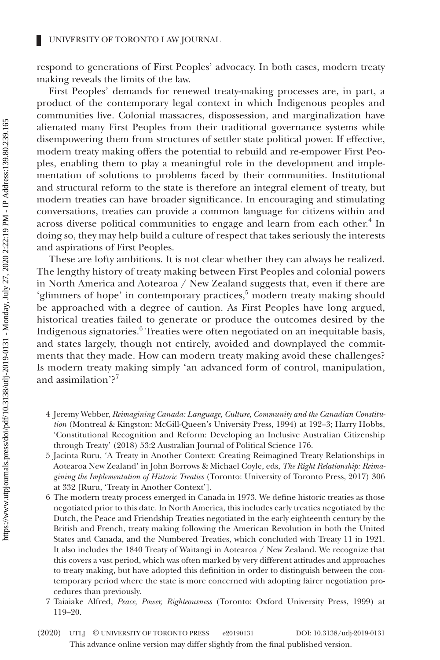respond to generations of First Peoples' advocacy. In both cases, modern treaty making reveals the limits of the law.

First Peoples' demands for renewed treaty-making processes are, in part, a product of the contemporary legal context in which Indigenous peoples and communities live. Colonial massacres, dispossession, and marginalization have alienated many First Peoples from their traditional governance systems while disempowering them from structures of settler state political power. If effective, modern treaty making offers the potential to rebuild and re-empower First Peoples, enabling them to play a meaningful role in the development and implementation of solutions to problems faced by their communities. Institutional and structural reform to the state is therefore an integral element of treaty, but modern treaties can have broader significance. In encouraging and stimulating conversations, treaties can provide a common language for citizens within and across diverse political communities to engage and learn from each other.<sup>4</sup> In doing so, they may help build a culture of respect that takes seriously the interests and aspirations of First Peoples.

These are lofty ambitions. It is not clear whether they can always be realized. The lengthy history of treaty making between First Peoples and colonial powers in North America and Aotearoa / New Zealand suggests that, even if there are 'glimmers of hope' in contemporary practices,<sup>5</sup> modern treaty making should be approached with a degree of caution. As First Peoples have long argued, historical treaties failed to generate or produce the outcomes desired by the Indigenous signatories.<sup>6</sup> Treaties were often negotiated on an inequitable basis, and states largely, though not entirely, avoided and downplayed the commitments that they made. How can modern treaty making avoid these challenges? Is modern treaty making simply 'an advanced form of control, manipulation, and assimilation'?<sup>7</sup>

- 4 Jeremy Webber, *Reimagining Canada: Language, Culture, Community and the Canadian Constitution* (Montreal & Kingston: McGill-Queen's University Press, 1994) at 192–3; Harry Hobbs, 'Constitutional Recognition and Reform: Developing an Inclusive Australian Citizenship through Treaty' (2018) 53:2 Australian Journal of Political Science 176.
- 5 Jacinta Ruru, 'A Treaty in Another Context: Creating Reimagined Treaty Relationships in Aotearoa New Zealand' in John Borrows & Michael Coyle, eds, *The Right Relationship: Reimagining the Implementation of Historic Treaties* (Toronto: University of Toronto Press, 2017) 306 at 332 [Ruru, 'Treaty in Another Context'].
- 6 The modern treaty process emerged in Canada in 1973. We define historic treaties as those negotiated prior to this date. In North America, this includes early treaties negotiated by the Dutch, the Peace and Friendship Treaties negotiated in the early eighteenth century by the British and French, treaty making following the American Revolution in both the United States and Canada, and the Numbered Treaties, which concluded with Treaty 11 in 1921. It also includes the 1840 Treaty of Waitangi in Aotearoa / New Zealand. We recognize that this covers a vast period, which was often marked by very different attitudes and approaches to treaty making, but have adopted this definition in order to distinguish between the contemporary period where the state is more concerned with adopting fairer negotiation procedures than previously.
- 7 Taiaiake Alfred, *Peace, Power, Righteousness* (Toronto: Oxford University Press, 1999) at 119–20.
- This advance online version may differ slightly from the final published version. (2020) UTLJ © UNIVERSITY OF TORONTO PRESS e20190131 DOI: 10.3138/utlj-2019-0131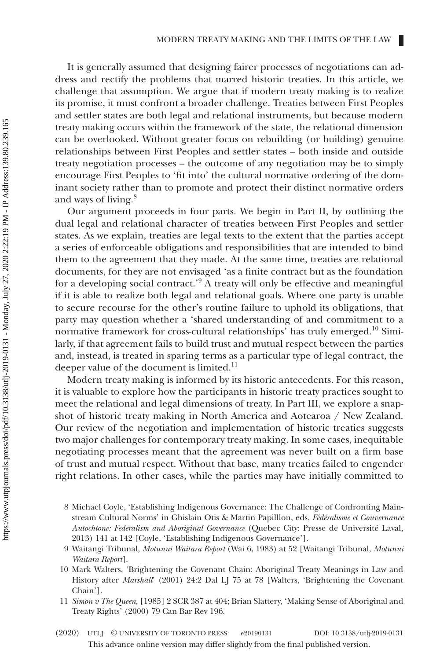It is generally assumed that designing fairer processes of negotiations can address and rectify the problems that marred historic treaties. In this article, we challenge that assumption. We argue that if modern treaty making is to realize its promise, it must confront a broader challenge. Treaties between First Peoples and settler states are both legal and relational instruments, but because modern treaty making occurs within the framework of the state, the relational dimension can be overlooked. Without greater focus on rebuilding (or building) genuine relationships between First Peoples and settler states – both inside and outside treaty negotiation processes – the outcome of any negotiation may be to simply encourage First Peoples to 'fit into' the cultural normative ordering of the dominant society rather than to promote and protect their distinct normative orders and ways of living.<sup>8</sup>

Our argument proceeds in four parts. We begin in Part II, by outlining the dual legal and relational character of treaties between First Peoples and settler states. As we explain, treaties are legal texts to the extent that the parties accept a series of enforceable obligations and responsibilities that are intended to bind them to the agreement that they made. At the same time, treaties are relational documents, for they are not envisaged 'as a finite contract but as the foundation for a developing social contract.<sup>'9</sup> A treaty will only be effective and meaningful if it is able to realize both legal and relational goals. Where one party is unable to secure recourse for the other's routine failure to uphold its obligations, that party may question whether a 'shared understanding of and commitment to a normative framework for cross-cultural relationships' has truly emerged.10 Similarly, if that agreement fails to build trust and mutual respect between the parties and, instead, is treated in sparing terms as a particular type of legal contract, the deeper value of the document is limited.<sup>11</sup>

Modern treaty making is informed by its historic antecedents. For this reason, it is valuable to explore how the participants in historic treaty practices sought to meet the relational and legal dimensions of treaty. In Part III, we explore a snapshot of historic treaty making in North America and Aotearoa / New Zealand. Our review of the negotiation and implementation of historic treaties suggests two major challenges for contemporary treaty making. In some cases, inequitable negotiating processes meant that the agreement was never built on a firm base of trust and mutual respect. Without that base, many treaties failed to engender right relations. In other cases, while the parties may have initially committed to

- 8 Michael Coyle, 'Establishing Indigenous Governance: The Challenge of Confronting Mainstream Cultural Norms' in Ghislain Otis & Martin Papilllon, eds, *Fédéralisme et Gouvernance Autochtone: Federalism and Aboriginal Governance* (Quebec City: Presse de Université Laval, 2013) 141 at 142 [Coyle, 'Establishing Indigenous Governance'].
- 9 Waitangi Tribunal, *Motunui Waitara Report* (Wai 6, 1983) at 52 [Waitangi Tribunal, *Motunui Waitara Report*].
- 10 Mark Walters, 'Brightening the Covenant Chain: Aboriginal Treaty Meanings in Law and History after *Marshall*' (2001) 24:2 Dal LJ 75 at 78 [Walters, 'Brightening the Covenant Chain'].
- 11 *Simon v The Queen*, [1985] 2 SCR 387 at 404; Brian Slattery, 'Making Sense of Aboriginal and Treaty Rights' (2000) 79 Can Bar Rev 196.
- This advance online version may differ slightly from the final published version. (2020) UTLJ © UNIVERSITY OF TORONTO PRESS e20190131 DOI: 10.3138/utlj-2019-0131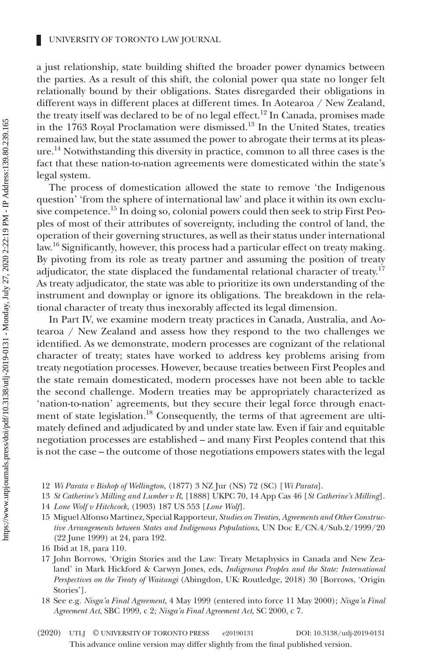a just relationship, state building shifted the broader power dynamics between the parties. As a result of this shift, the colonial power qua state no longer felt relationally bound by their obligations. States disregarded their obligations in different ways in different places at different times. In Aotearoa / New Zealand, the treaty itself was declared to be of no legal effect.<sup>12</sup> In Canada, promises made in the 1763 Royal Proclamation were dismissed.<sup>13</sup> In the United States, treaties remained law, but the state assumed the power to abrogate their terms at its pleasure.14 Notwithstanding this diversity in practice, common to all three cases is the fact that these nation-to-nation agreements were domesticated within the state's legal system.

The process of domestication allowed the state to remove 'the Indigenous question' 'from the sphere of international law' and place it within its own exclusive competence.<sup>15</sup> In doing so, colonial powers could then seek to strip First Peoples of most of their attributes of sovereignty, including the control of land, the operation of their governing structures, as well as their status under international law.<sup>16</sup> Significantly, however, this process had a particular effect on treaty making. By pivoting from its role as treaty partner and assuming the position of treaty adjudicator, the state displaced the fundamental relational character of treaty.<sup>17</sup> As treaty adjudicator, the state was able to prioritize its own understanding of the instrument and downplay or ignore its obligations. The breakdown in the relational character of treaty thus inexorably affected its legal dimension.

In Part IV, we examine modern treaty practices in Canada, Australia, and Aotearoa / New Zealand and assess how they respond to the two challenges we identified. As we demonstrate, modern processes are cognizant of the relational character of treaty; states have worked to address key problems arising from treaty negotiation processes. However, because treaties between First Peoples and the state remain domesticated, modern processes have not been able to tackle the second challenge. Modern treaties may be appropriately characterized as 'nation-to-nation' agreements, but they secure their legal force through enactment of state legislation.<sup>18</sup> Consequently, the terms of that agreement are ultimately defined and adjudicated by and under state law. Even if fair and equitable negotiation processes are established – and many First Peoples contend that this is not the case – the outcome of those negotiations empowers states with the legal

- 12 *Wi Parata v Bishop of Wellington*, (1877) 3 NZ Jur (NS) 72 (SC) [*Wi Parata*].
- 13 *St Catherine's Milling and Lumber v R*, [1888] UKPC 70, 14 App Cas 46 [*St Catherine's Milling*].
- 14 *Lone Wolf v Hitchcock*, (1903) 187 US 553 [*Lone Wolf*].
- 15 Miguel Alfonso Martinez, Special Rapporteur, *Studies on Treaties, Agreements and Other Constructive Arrangements between States and Indigenous Populations*, UN Doc E/CN.4/Sub.2/1999/20 (22 June 1999) at 24, para 192.

- 17 John Borrows, 'Origin Stories and the Law: Treaty Metaphysics in Canada and New Zealand' in Mark Hickford & Carwyn Jones, eds, *Indigenous Peoples and the State: International Perspectives on the Treaty of Waitangi* (Abingdon, UK: Routledge, 2018) 30 [Borrows, 'Origin Stories'].
- 18 See e.g. *Nisga'a Final Agreement*, 4 May 1999 (entered into force 11 May 2000); *Nisga'a Final Agreement Act*, SBC 1999, c 2; *Nisga'a Final Agreement Act*, SC 2000, c 7.

<sup>16</sup> Ibid at 18, para 110.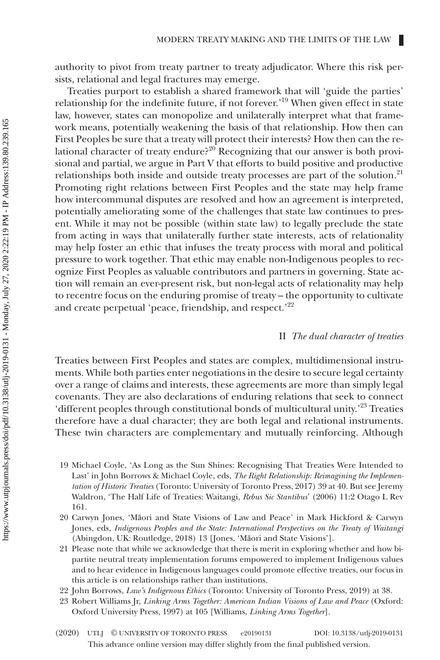authority to pivot from treaty partner to treaty adjudicator. Where this risk persists, relational and legal fractures may emerge.

Treaties purport to establish a shared framework that will 'guide the parties' relationship for the indefinite future, if not forever.'19 When given effect in state law, however, states can monopolize and unilaterally interpret what that framework means, potentially weakening the basis of that relationship. How then can First Peoples be sure that a treaty will protect their interests? How then can the relational character of treaty endure?<sup>20</sup> Recognizing that our answer is both provisional and partial, we argue in Part V that efforts to build positive and productive relationships both inside and outside treaty processes are part of the solution.<sup>21</sup> Promoting right relations between First Peoples and the state may help frame how intercommunal disputes are resolved and how an agreement is interpreted, potentially ameliorating some of the challenges that state law continues to present. While it may not be possible (within state law) to legally preclude the state from acting in ways that unilaterally further state interests, acts of relationality may help foster an ethic that infuses the treaty process with moral and political pressure to work together. That ethic may enable non-Indigenous peoples to recognize First Peoples as valuable contributors and partners in governing. State action will remain an ever-present risk, but non-legal acts of relationality may help to recentre focus on the enduring promise of treaty – the opportunity to cultivate and create perpetual 'peace, friendship, and respect.'22

# II *The dual character of treaties*

Treaties between First Peoples and states are complex, multidimensional instruments. While both parties enter negotiations in the desire to secure legal certainty over a range of claims and interests, these agreements are more than simply legal covenants. They are also declarations of enduring relations that seek to connect 'different peoples through constitutional bonds of multicultural unity.'23 Treaties therefore have a dual character; they are both legal and relational instruments. These twin characters are complementary and mutually reinforcing. Although

- 19 Michael Coyle, 'As Long as the Sun Shines: Recognising That Treaties Were Intended to Last' in John Borrows & Michael Coyle, eds, *The Right Relationship: Reimagining the Implementation of Historic Treaties* (Toronto: University of Toronto Press, 2017) 39 at 40. But see Jeremy Waldron, 'The Half Life of Treaties: Waitangi, *Rebus Sic Stantibus*' (2006) 11:2 Otago L Rev 161.
- 20 Carwyn Jones, 'Māori and State Visions of Law and Peace' in Mark Hickford & Carwyn Jones, eds, *Indigenous Peoples and the State: International Perspectives on the Treaty of Waitangi* (Abingdon, UK: Routledge, 2018) 13 [Jones, 'Māori and State Visions'].
- 21 Please note that while we acknowledge that there is merit in exploring whether and how bipartite neutral treaty implementation forums empowered to implement Indigenous values and to hear evidence in Indigenous languages could promote effective treaties, our focus in this article is on relationships rather than institutions.
- 22 John Borrows, *Law's Indigenous Ethics* (Toronto: University of Toronto Press, 2019) at 38.
- 23 Robert Williams Jr, *Linking Arms Together: American Indian Visions of Law and Peace* (Oxford: Oxford University Press, 1997) at 105 [Williams, *Linking Arms Together*].
- This advance online version may differ slightly from the final published version. (2020) UTLJ © UNIVERSITY OF TORONTO PRESS e20190131 DOI: 10.3138/utlj-2019-0131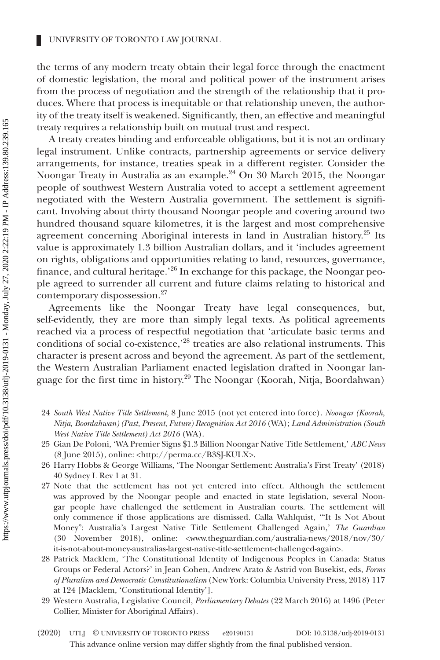the terms of any modern treaty obtain their legal force through the enactment of domestic legislation, the moral and political power of the instrument arises from the process of negotiation and the strength of the relationship that it produces. Where that process is inequitable or that relationship uneven, the authority of the treaty itself is weakened. Significantly, then, an effective and meaningful treaty requires a relationship built on mutual trust and respect.

A treaty creates binding and enforceable obligations, but it is not an ordinary legal instrument. Unlike contracts, partnership agreements or service delivery arrangements, for instance, treaties speak in a different register. Consider the Noongar Treaty in Australia as an example.<sup>24</sup> On 30 March 2015, the Noongar people of southwest Western Australia voted to accept a settlement agreement negotiated with the Western Australia government. The settlement is significant. Involving about thirty thousand Noongar people and covering around two hundred thousand square kilometres, it is the largest and most comprehensive agreement concerning Aboriginal interests in land in Australian history.<sup>25</sup> Its value is approximately 1.3 billion Australian dollars, and it 'includes agreement on rights, obligations and opportunities relating to land, resources, governance, finance, and cultural heritage.<sup>'26</sup> In exchange for this package, the Noongar people agreed to surrender all current and future claims relating to historical and contemporary dispossession.27

Agreements like the Noongar Treaty have legal consequences, but, self-evidently, they are more than simply legal texts. As political agreements reached via a process of respectful negotiation that 'articulate basic terms and conditions of social co-existence,<sup>28</sup> treaties are also relational instruments. This character is present across and beyond the agreement. As part of the settlement, the Western Australian Parliament enacted legislation drafted in Noongar language for the first time in history.<sup>29</sup> The Noongar (Koorah, Nitja, Boordahwan)

- 24 *South West Native Title Settlement*, 8 June 2015 (not yet entered into force). *Noongar (Koorah, Nitja, Boordahwan) (Past, Present, Future) Recognition Act 2016* (WA); *Land Administration (South West Native Title Settlement) Act 2016* (WA).
- 25 Gian De Poloni, 'WA Premier Signs \$1.3 Billion Noongar Native Title Settlement,' *ABC News* (8 June 2015), online: [<http://perma.cc/B3SJ-KULX>](http://perma.cc/B3SJ-KULX).
- 26 Harry Hobbs & George Williams, 'The Noongar Settlement: Australia's First Treaty' (2018) 40 Sydney L Rev 1 at 31.
- 27 Note that the settlement has not yet entered into effect. Although the settlement was approved by the Noongar people and enacted in state legislation, several Noongar people have challenged the settlement in Australian courts. The settlement will only commence if those applications are dismissed. Calla Wahlquist, '"It Is Not About Money": Australia's Largest Native Title Settlement Challenged Again,' *The Guardian* (30 November 2018), online: <[www.theguardian.com/australia-news/2018/nov/30/](http://www.theguardian.com/australia-news/2018/nov/30/it-is-not-about-money-australias-largest-native-title-settlement-challenged-again) [it-is-not-about-money-australias-largest-native-title-settlement-challenged-again>](http://www.theguardian.com/australia-news/2018/nov/30/it-is-not-about-money-australias-largest-native-title-settlement-challenged-again).
- 28 Patrick Macklem, 'The Constitutional Identity of Indigenous Peoples in Canada: Status Groups or Federal Actors?' in Jean Cohen, Andrew Arato & Astrid von Busekist, eds, *Forms of Pluralism and Democratic Constitutionalism* (New York: Columbia University Press, 2018) 117 at 124 [Macklem, 'Constitutional Identity'].
- 29 Western Australia, Legislative Council, *Parliamentary Debates* (22 March 2016) at 1496 (Peter Collier, Minister for Aboriginal Affairs).
- This advance online version may differ slightly from the final published version. (2020) UTLJ © UNIVERSITY OF TORONTO PRESS e20190131 DOI: 10.3138/utlj-2019-0131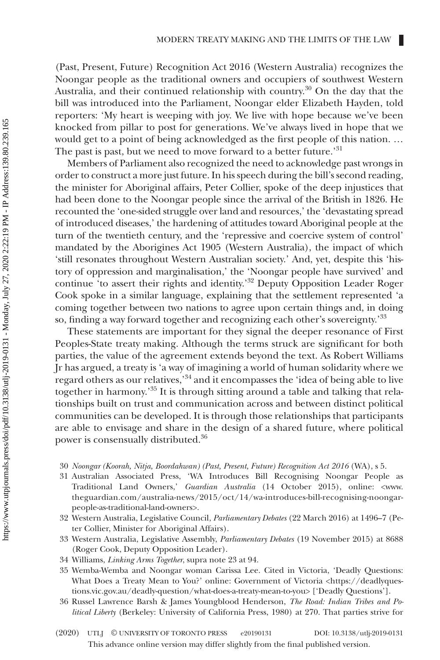(Past, Present, Future) Recognition Act 2016 (Western Australia) recognizes the Noongar people as the traditional owners and occupiers of southwest Western Australia, and their continued relationship with country.30 On the day that the bill was introduced into the Parliament, Noongar elder Elizabeth Hayden, told reporters: 'My heart is weeping with joy. We live with hope because we've been knocked from pillar to post for generations. We've always lived in hope that we would get to a point of being acknowledged as the first people of this nation. … The past is past, but we need to move forward to a better future.'<sup>31</sup>

Members of Parliament also recognized the need to acknowledge past wrongs in order to construct a more just future. In his speech during the bill's second reading, the minister for Aboriginal affairs, Peter Collier, spoke of the deep injustices that had been done to the Noongar people since the arrival of the British in 1826. He recounted the 'one-sided struggle over land and resources,' the 'devastating spread of introduced diseases,' the hardening of attitudes toward Aboriginal people at the turn of the twentieth century, and the 'repressive and coercive system of control' mandated by the Aborigines Act 1905 (Western Australia), the impact of which 'still resonates throughout Western Australian society.' And, yet, despite this 'history of oppression and marginalisation,' the 'Noongar people have survived' and continue 'to assert their rights and identity.'<sup>32</sup> Deputy Opposition Leader Roger Cook spoke in a similar language, explaining that the settlement represented 'a coming together between two nations to agree upon certain things and, in doing so, finding a way forward together and recognizing each other's sovereignty.'33

These statements are important for they signal the deeper resonance of First Peoples-State treaty making. Although the terms struck are significant for both parties, the value of the agreement extends beyond the text. As Robert Williams Jr has argued, a treaty is 'a way of imagining a world of human solidarity where we regard others as our relatives,'34 and it encompasses the 'idea of being able to live together in harmony.'35 It is through sitting around a table and talking that relationships built on trust and communication across and between distinct political communities can be developed. It is through those relationships that participants are able to envisage and share in the design of a shared future, where political power is consensually distributed.<sup>36</sup>

- 30 *Noongar (Koorah, Nitja, Boordahwan) (Past, Present, Future) Recognition Act 2016* (WA), s 5.
- 31 Australian Associated Press, 'WA Introduces Bill Recognising Noongar People as Traditional Land Owners,' *Guardian Australia* (14 October 2015), online: [<www.](http://www.theguardian.com/australia-news/2015/oct/14/wa-introduces-bill-recognising-noongar-people-as-traditional-land-owners) [theguardian.com/australia-news/2015/oct/14/wa-introduces-bill-recognising-noongar](http://www.theguardian.com/australia-news/2015/oct/14/wa-introduces-bill-recognising-noongar-people-as-traditional-land-owners)[people-as-traditional-land-owners](http://www.theguardian.com/australia-news/2015/oct/14/wa-introduces-bill-recognising-noongar-people-as-traditional-land-owners)>.
- 32 Western Australia, Legislative Council, *Parliamentary Debates* (22 March 2016) at 1496–7 (Peter Collier, Minister for Aboriginal Affairs).
- 33 Western Australia, Legislative Assembly, *Parliamentary Debates* (19 November 2015) at 8688 (Roger Cook, Deputy Opposition Leader).
- 34 Williams, *Linking Arms Together*, supra note 23 at 94.
- 35 Wemba-Wemba and Noongar woman Carissa Lee. Cited in Victoria, 'Deadly Questions: What Does a Treaty Mean to You?' online: Government of Victoria [<https://deadlyques](https://deadlyquestions.vic.gov.au/deadly-question/what-does-a-treaty-mean-to-you)[tions.vic.gov.au/deadly-question/what-does-a-treaty-mean-to-you](https://deadlyquestions.vic.gov.au/deadly-question/what-does-a-treaty-mean-to-you)> ['Deadly Questions'].
- 36 Russel Lawrence Barsh & James Youngblood Henderson, *The Road: Indian Tribes and Political Liberty* (Berkeley: University of California Press, 1980) at 270. That parties strive for
- This advance online version may differ slightly from the final published version. (2020) UTLJ © UNIVERSITY OF TORONTO PRESS e20190131 DOI: 10.3138/utlj-2019-0131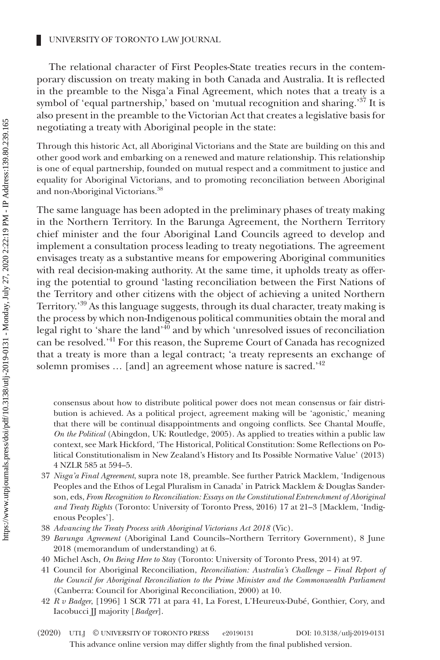The relational character of First Peoples-State treaties recurs in the contemporary discussion on treaty making in both Canada and Australia. It is reflected in the preamble to the Nisga'a Final Agreement, which notes that a treaty is a symbol of 'equal partnership,' based on 'mutual recognition and sharing.'<sup>37</sup> It is also present in the preamble to the Victorian Act that creates a legislative basis for negotiating a treaty with Aboriginal people in the state:

Through this historic Act, all Aboriginal Victorians and the State are building on this and other good work and embarking on a renewed and mature relationship. This relationship is one of equal partnership, founded on mutual respect and a commitment to justice and equality for Aboriginal Victorians, and to promoting reconciliation between Aboriginal and non-Aboriginal Victorians.<sup>38</sup>

The same language has been adopted in the preliminary phases of treaty making in the Northern Territory. In the Barunga Agreement, the Northern Territory chief minister and the four Aboriginal Land Councils agreed to develop and implement a consultation process leading to treaty negotiations. The agreement envisages treaty as a substantive means for empowering Aboriginal communities with real decision-making authority. At the same time, it upholds treaty as offering the potential to ground 'lasting reconciliation between the First Nations of the Territory and other citizens with the object of achieving a united Northern Territory.'39 As this language suggests, through its dual character, treaty making is the process by which non-Indigenous political communities obtain the moral and legal right to 'share the land'40 and by which 'unresolved issues of reconciliation can be resolved.'41 For this reason, the Supreme Court of Canada has recognized that a treaty is more than a legal contract; 'a treaty represents an exchange of solemn promises ... [and] an agreement whose nature is sacred.'<sup>42</sup>

consensus about how to distribute political power does not mean consensus or fair distribution is achieved. As a political project, agreement making will be 'agonistic,' meaning that there will be continual disappointments and ongoing conflicts. See Chantal Mouffe, *On the Political* (Abingdon, UK: Routledge, 2005). As applied to treaties within a public law context, see Mark Hickford, 'The Historical, Political Constitution: Some Reflections on Political Constitutionalism in New Zealand's History and Its Possible Normative Value' (2013) 4 NZLR 585 at 594–5.

- 37 *Nisga'a Final Agreement*, supra note 18, preamble. See further Patrick Macklem, 'Indigenous Peoples and the Ethos of Legal Pluralism in Canada' in Patrick Macklem & Douglas Sanderson, eds, *From Recognition to Reconciliation: Essays on the Constitutional Entrenchment of Aboriginal and Treaty Rights* (Toronto: University of Toronto Press, 2016) 17 at 21–3 [Macklem, 'Indigenous Peoples'].
- 38 *Advancing the Treaty Process with Aboriginal Victorians Act 2018* (Vic).
- 39 *Barunga Agreement* (Aboriginal Land Councils–Northern Territory Government), 8 June 2018 (memorandum of understanding) at 6.
- 40 Michel Asch, *On Being Here to Stay* (Toronto: University of Toronto Press, 2014) at 97.

41 Council for Aboriginal Reconciliation, *Reconciliation: Australia's Challenge – Final Report of the Council for Aboriginal Reconciliation to the Prime Minister and the Commonwealth Parliament* (Canberra: Council for Aboriginal Reconciliation, 2000) at 10.

- 42 *R v Badger*, [1996] 1 SCR 771 at para 41, La Forest, L'Heureux-Dubé, Gonthier, Cory, and Iacobucci JJ majority [*Badger*].
- This advance online version may differ slightly from the final published version. (2020) UTLJ © UNIVERSITY OF TORONTO PRESS e20190131 DOI: 10.3138/utlj-2019-0131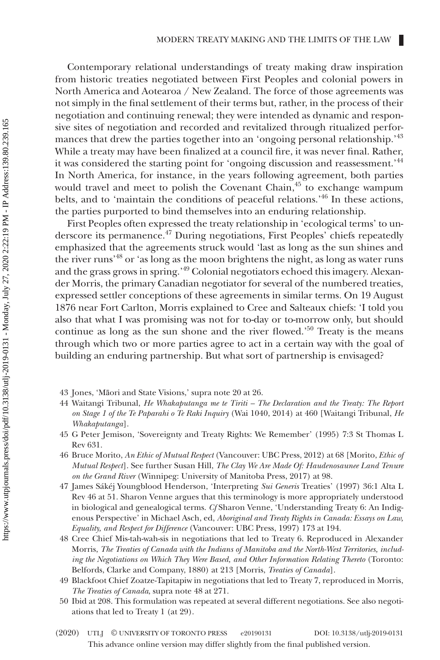Contemporary relational understandings of treaty making draw inspiration from historic treaties negotiated between First Peoples and colonial powers in North America and Aotearoa / New Zealand. The force of those agreements was not simply in the final settlement of their terms but, rather, in the process of their negotiation and continuing renewal; they were intended as dynamic and responsive sites of negotiation and recorded and revitalized through ritualized performances that drew the parties together into an 'ongoing personal relationship.'<sup>43</sup> While a treaty may have been finalized at a council fire, it was never final. Rather, it was considered the starting point for 'ongoing discussion and reassessment.'<sup>44</sup> In North America, for instance, in the years following agreement, both parties would travel and meet to polish the Covenant Chain, $45$  to exchange wampum belts, and to 'maintain the conditions of peaceful relations.'46 In these actions, the parties purported to bind themselves into an enduring relationship.

First Peoples often expressed the treaty relationship in 'ecological terms' to underscore its permanence.47 During negotiations, First Peoples' chiefs repeatedly emphasized that the agreements struck would 'last as long as the sun shines and the river runs'48 or 'as long as the moon brightens the night, as long as water runs and the grass grows in spring.'49 Colonial negotiators echoed this imagery. Alexander Morris, the primary Canadian negotiator for several of the numbered treaties, expressed settler conceptions of these agreements in similar terms. On 19 August 1876 near Fort Carlton, Morris explained to Cree and Salteaux chiefs: 'I told you also that what I was promising was not for to-day or to-morrow only, but should continue as long as the sun shone and the river flowed.'50 Treaty is the means through which two or more parties agree to act in a certain way with the goal of building an enduring partnership. But what sort of partnership is envisaged?

- 43 Jones, 'Māori and State Visions,' supra note 20 at 26.
- 44 Waitangi Tribunal, *He Whakaputanga me te Tiriti The Declaration and the Treaty: The Report on Stage 1 of the Te Paparahi o Te Raki Inquiry* (Wai 1040, 2014) at 460 [Waitangi Tribunal, *He Whakaputanga*].
- 45 G Peter Jemison, 'Sovereignty and Treaty Rights: We Remember' (1995) 7:3 St Thomas L Rev 631.
- 46 Bruce Morito, *An Ethic of Mutual Respect* (Vancouver: UBC Press, 2012) at 68 [Morito, *Ethic of Mutual Respect*]. See further Susan Hill, *The Clay We Are Made Of: Haudenosaunee Land Tenure on the Grand River* (Winnipeg: University of Manitoba Press, 2017) at 98.
- 47 James Sákéj Youngblood Henderson, 'Interpreting *Sui Generis* Treaties' (1997) 36:1 Alta L Rev 46 at 51. Sharon Venne argues that this terminology is more appropriately understood in biological and genealogical terms. *Cf* Sharon Venne, 'Understanding Treaty 6: An Indigenous Perspective' in Michael Asch, ed, *Aboriginal and Treaty Rights in Canada: Essays on Law, Equality, and Respect for Difference* (Vancouver: UBC Press, 1997) 173 at 194.
- 48 Cree Chief Mis-tah-wah-sis in negotiations that led to Treaty 6. Reproduced in Alexander Morris, *The Treaties of Canada with the Indians of Manitoba and the North-West Territories, including the Negotiations on Which They Were Based, and Other Information Relating Thereto* (Toronto: Belfords, Clarke and Company, 1880) at 213 [Morris, *Treaties of Canada*].
- 49 Blackfoot Chief Zoatze-Tapitapiw in negotiations that led to Treaty 7, reproduced in Morris, *The Treaties of Canada*, supra note 48 at 271.
- 50 Ibid at 208. This formulation was repeated at several different negotiations. See also negotiations that led to Treaty 1 (at 29).
- This advance online version may differ slightly from the final published version. (2020) UTLJ © UNIVERSITY OF TORONTO PRESS e20190131 DOI: 10.3138/utlj-2019-0131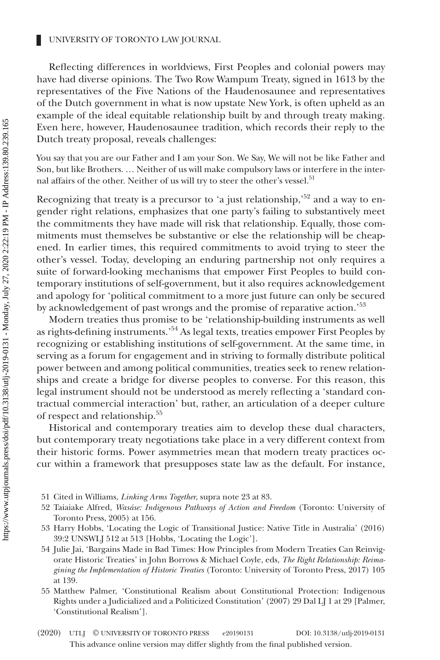Reflecting differences in worldviews, First Peoples and colonial powers may have had diverse opinions. The Two Row Wampum Treaty, signed in 1613 by the representatives of the Five Nations of the Haudenosaunee and representatives of the Dutch government in what is now upstate New York, is often upheld as an example of the ideal equitable relationship built by and through treaty making. Even here, however, Haudenosaunee tradition, which records their reply to the Dutch treaty proposal, reveals challenges:

You say that you are our Father and I am your Son. We Say, We will not be like Father and Son, but like Brothers. … Neither of us will make compulsory laws or interfere in the internal affairs of the other. Neither of us will try to steer the other's vessel.<sup>51</sup>

Recognizing that treaty is a precursor to 'a just relationship,'<sup>52</sup> and a way to engender right relations, emphasizes that one party's failing to substantively meet the commitments they have made will risk that relationship. Equally, those commitments must themselves be substantive or else the relationship will be cheapened. In earlier times, this required commitments to avoid trying to steer the other's vessel. Today, developing an enduring partnership not only requires a suite of forward-looking mechanisms that empower First Peoples to build contemporary institutions of self-government, but it also requires acknowledgement and apology for 'political commitment to a more just future can only be secured by acknowledgement of past wrongs and the promise of reparative action.<sup>53</sup>

Modern treaties thus promise to be 'relationship-building instruments as well as rights-defining instruments.'<sup>54</sup> As legal texts, treaties empower First Peoples by recognizing or establishing institutions of self-government. At the same time, in serving as a forum for engagement and in striving to formally distribute political power between and among political communities, treaties seek to renew relationships and create a bridge for diverse peoples to converse. For this reason, this legal instrument should not be understood as merely reflecting a 'standard contractual commercial interaction' but, rather, an articulation of a deeper culture of respect and relationship.55

Historical and contemporary treaties aim to develop these dual characters, but contemporary treaty negotiations take place in a very different context from their historic forms. Power asymmetries mean that modern treaty practices occur within a framework that presupposes state law as the default. For instance,

- 51 Cited in Williams, *Linking Arms Together*, supra note 23 at 83.
- 52 Taiaiake Alfred, *Wasáse: Indigenous Pathways of Action and Freedom* (Toronto: University of Toronto Press, 2005) at 156.
- 53 Harry Hobbs, 'Locating the Logic of Transitional Justice: Native Title in Australia' (2016) 39:2 UNSWLJ 512 at 513 [Hobbs, 'Locating the Logic'].

54 Julie Jai, 'Bargains Made in Bad Times: How Principles from Modern Treaties Can Reinvigorate Historic Treaties' in John Borrows & Michael Coyle, eds, *The Right Relationship: Reimagining the Implementation of Historic Treaties* (Toronto: University of Toronto Press, 2017) 105 at 139.

55 Matthew Palmer, 'Constitutional Realism about Constitutional Protection: Indigenous Rights under a Judicialized and a Politicized Constitution' (2007) 29 Dal LJ 1 at 29 [Palmer, 'Constitutional Realism'].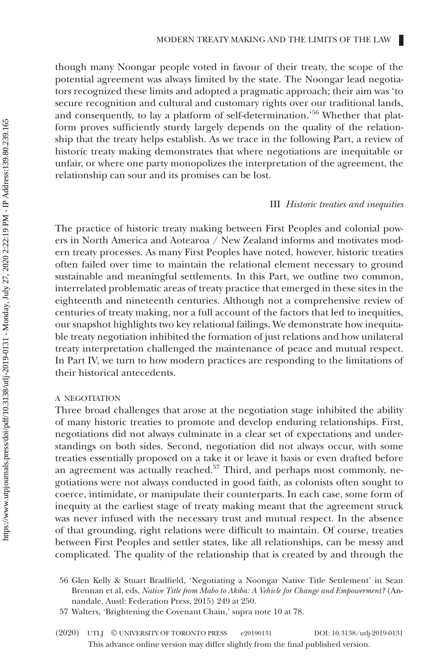though many Noongar people voted in favour of their treaty, the scope of the potential agreement was always limited by the state. The Noongar lead negotiators recognized these limits and adopted a pragmatic approach; their aim was 'to secure recognition and cultural and customary rights over our traditional lands, and consequently, to lay a platform of self-determination.'56 Whether that platform proves sufficiently sturdy largely depends on the quality of the relationship that the treaty helps establish. As we trace in the following Part, a review of historic treaty making demonstrates that where negotiations are inequitable or unfair, or where one party monopolizes the interpretation of the agreement, the relationship can sour and its promises can be lost.

#### III *Historic treaties and inequities*

The practice of historic treaty making between First Peoples and colonial powers in North America and Aotearoa / New Zealand informs and motivates modern treaty processes. As many First Peoples have noted, however, historic treaties often failed over time to maintain the relational element necessary to ground sustainable and meaningful settlements. In this Part, we outline two common, interrelated problematic areas of treaty practice that emerged in these sites in the eighteenth and nineteenth centuries. Although not a comprehensive review of centuries of treaty making, nor a full account of the factors that led to inequities, our snapshot highlights two key relational failings. We demonstrate how inequitable treaty negotiation inhibited the formation of just relations and how unilateral treaty interpretation challenged the maintenance of peace and mutual respect. In Part IV, we turn to how modern practices are responding to the limitations of their historical antecedents.

# A NEGOTIATION

Three broad challenges that arose at the negotiation stage inhibited the ability of many historic treaties to promote and develop enduring relationships. First, negotiations did not always culminate in a clear set of expectations and understandings on both sides. Second, negotiation did not always occur, with some treaties essentially proposed on a take it or leave it basis or even drafted before an agreement was actually reached.<sup>57</sup> Third, and perhaps most commonly, negotiations were not always conducted in good faith, as colonists often sought to coerce, intimidate, or manipulate their counterparts. In each case, some form of inequity at the earliest stage of treaty making meant that the agreement struck was never infused with the necessary trust and mutual respect. In the absence of that grounding, right relations were difficult to maintain. Of course, treaties between First Peoples and settler states, like all relationships, can be messy and complicated. The quality of the relationship that is created by and through the

<sup>56</sup> Glen Kelly & Stuart Bradfield, 'Negotiating a Noongar Native Title Settlement' in Sean Brennan et al, eds, *Native Title from Mabo to Akiba: A Vehicle for Change and Empowerment?* (Annandale, Austl: Federation Press, 2015) 249 at 250.

<sup>57</sup> Walters, 'Brightening the Covenant Chain,' supra note 10 at 78.

This advance online version may differ slightly from the final published version. (2020) UTLJ © UNIVERSITY OF TORONTO PRESS e20190131 DOI: 10.3138/utlj-2019-0131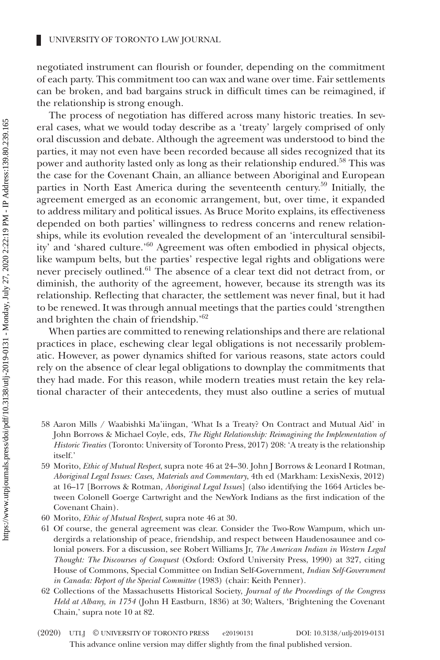negotiated instrument can flourish or founder, depending on the commitment of each party. This commitment too can wax and wane over time. Fair settlements can be broken, and bad bargains struck in difficult times can be reimagined, if the relationship is strong enough.

The process of negotiation has differed across many historic treaties. In several cases, what we would today describe as a 'treaty' largely comprised of only oral discussion and debate. Although the agreement was understood to bind the parties, it may not even have been recorded because all sides recognized that its power and authority lasted only as long as their relationship endured.<sup>58</sup> This was the case for the Covenant Chain, an alliance between Aboriginal and European parties in North East America during the seventeenth century.<sup>59</sup> Initially, the agreement emerged as an economic arrangement, but, over time, it expanded to address military and political issues. As Bruce Morito explains, its effectiveness depended on both parties' willingness to redress concerns and renew relationships, while its evolution revealed the development of an 'intercultural sensibility' and 'shared culture.'<sup>60</sup> Agreement was often embodied in physical objects, like wampum belts, but the parties' respective legal rights and obligations were never precisely outlined.<sup>61</sup> The absence of a clear text did not detract from, or diminish, the authority of the agreement, however, because its strength was its relationship. Reflecting that character, the settlement was never final, but it had to be renewed. It was through annual meetings that the parties could 'strengthen and brighten the chain of friendship.'62

When parties are committed to renewing relationships and there are relational practices in place, eschewing clear legal obligations is not necessarily problematic. However, as power dynamics shifted for various reasons, state actors could rely on the absence of clear legal obligations to downplay the commitments that they had made. For this reason, while modern treaties must retain the key relational character of their antecedents, they must also outline a series of mutual

- 58 Aaron Mills / Waabishki Ma'iingan, 'What Is a Treaty? On Contract and Mutual Aid' in John Borrows & Michael Coyle, eds, *The Right Relationship: Reimagining the Implementation of Historic Treaties* (Toronto: University of Toronto Press, 2017) 208: 'A treaty is the relationship itself.'
- 59 Morito, *Ethic of Mutual Respect*, supra note 46 at 24–30. John J Borrows & Leonard I Rotman, *Aboriginal Legal Issues: Cases, Materials and Commentary*, 4th ed (Markham: LexisNexis, 2012) at 16–17 [Borrows & Rotman, *Aboriginal Legal Issues*] (also identifying the 1664 Articles between Colonell Goerge Cartwright and the NewYork Indians as the first indication of the Covenant Chain).
- 60 Morito, *Ethic of Mutual Respect*, supra note 46 at 30.
- 61 Of course, the general agreement was clear. Consider the Two-Row Wampum, which undergirds a relationship of peace, friendship, and respect between Haudenosaunee and colonial powers. For a discussion, see Robert Williams Jr, *The American Indian in Western Legal Thought: The Discourses of Conquest* (Oxford: Oxford University Press, 1990) at 327, citing House of Commons, Special Committee on Indian Self-Government, *Indian Self-Government in Canada: Report of the Special Committee* (1983) (chair: Keith Penner).
- 62 Collections of the Massachusetts Historical Society, *Journal of the Proceedings of the Congress Held at Albany, in 1754* (John H Eastburn, 1836) at 30; Walters, 'Brightening the Covenant Chain,' supra note 10 at 82.
- This advance online version may differ slightly from the final published version. (2020) UTLJ © UNIVERSITY OF TORONTO PRESS e20190131 DOI: 10.3138/utlj-2019-0131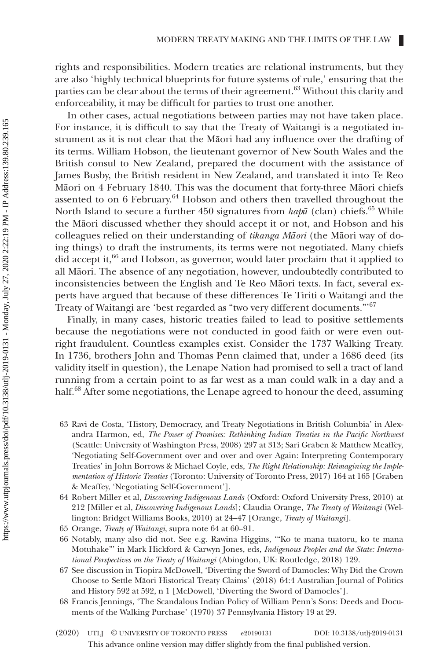rights and responsibilities. Modern treaties are relational instruments, but they are also 'highly technical blueprints for future systems of rule,' ensuring that the parties can be clear about the terms of their agreement.<sup>63</sup> Without this clarity and enforceability, it may be difficult for parties to trust one another.

In other cases, actual negotiations between parties may not have taken place. For instance, it is difficult to say that the Treaty of Waitangi is a negotiated instrument as it is not clear that the Māori had any influence over the drafting of its terms. William Hobson, the lieutenant governor of New South Wales and the British consul to New Zealand, prepared the document with the assistance of James Busby, the British resident in New Zealand, and translated it into Te Reo Māori on 4 February 1840. This was the document that forty-three Māori chiefs assented to on 6 February.<sup>64</sup> Hobson and others then travelled throughout the North Island to secure a further 450 signatures from *hapū* (clan) chiefs.<sup>65</sup> While the Māori discussed whether they should accept it or not, and Hobson and his colleagues relied on their understanding of *tikanga Māori* (the Māori way of doing things) to draft the instruments, its terms were not negotiated. Many chiefs did accept it,<sup>66</sup> and Hobson, as governor, would later proclaim that it applied to all Māori. The absence of any negotiation, however, undoubtedly contributed to inconsistencies between the English and Te Reo Māori texts. In fact, several experts have argued that because of these differences Te Tiriti o Waitangi and the Treaty of Waitangi are 'best regarded as "two very different documents."'67

Finally, in many cases, historic treaties failed to lead to positive settlements because the negotiations were not conducted in good faith or were even outright fraudulent. Countless examples exist. Consider the 1737 Walking Treaty. In 1736, brothers John and Thomas Penn claimed that, under a 1686 deed (its validity itself in question), the Lenape Nation had promised to sell a tract of land running from a certain point to as far west as a man could walk in a day and a half.<sup>68</sup> After some negotiations, the Lenape agreed to honour the deed, assuming

- 63 Ravi de Costa, 'History, Democracy, and Treaty Negotiations in British Columbia' in Alexandra Harmon, ed, *The Power of Promises: Rethinking Indian Treaties in the Pacific Northwest* (Seattle: University of Washington Press, 2008) 297 at 313; Sari Graben & Matthew Meaffey, 'Negotiating Self-Government over and over and over Again: Interpreting Contemporary Treaties' in John Borrows & Michael Coyle, eds, *The Right Relationship: Reimagining the Implementation of Historic Treaties* (Toronto: University of Toronto Press, 2017) 164 at 165 [Graben & Meaffey, 'Negotiating Self-Government'].
- 64 Robert Miller et al, *Discovering Indigenous Lands* (Oxford: Oxford University Press, 2010) at 212 [Miller et al, *Discovering Indigenous Lands*]; Claudia Orange, *The Treaty of Waitangi* (Wellington: Bridget Williams Books, 2010) at 24–47 [Orange, *Treaty of Waitangi*].
- 65 Orange, *Treaty of Waitangi*, supra note 64 at 60–91.
- 66 Notably, many also did not. See e.g. Rawina Higgins, '"Ko te mana tuatoru, ko te mana Motuhake"' in Mark Hickford & Carwyn Jones, eds, *Indigenous Peoples and the State: International Perspectives on the Treaty of Waitangi* (Abingdon, UK: Routledge, 2018) 129.
- 67 See discussion in Tiopira McDowell, 'Diverting the Sword of Damocles: Why Did the Crown Choose to Settle Māori Historical Treaty Claims' (2018) 64:4 Australian Journal of Politics and History 592 at 592, n 1 [McDowell, 'Diverting the Sword of Damocles'].
- 68 Francis Jennings, 'The Scandalous Indian Policy of William Penn's Sons: Deeds and Documents of the Walking Purchase' (1970) 37 Pennsylvania History 19 at 29.
- This advance online version may differ slightly from the final published version. (2020) UTLJ © UNIVERSITY OF TORONTO PRESS e20190131 DOI: 10.3138/utlj-2019-0131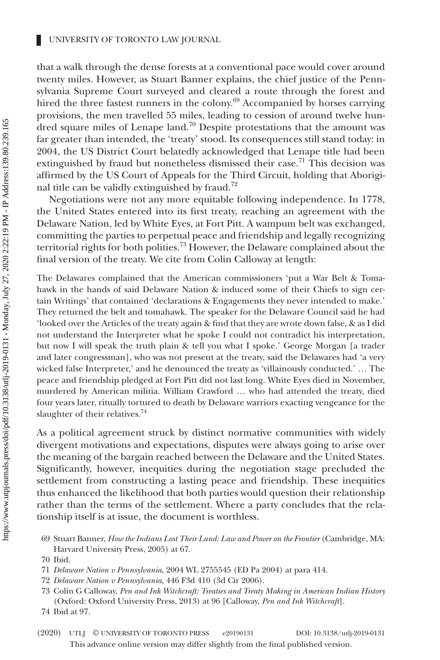that a walk through the dense forests at a conventional pace would cover around twenty miles. However, as Stuart Banner explains, the chief justice of the Pennsylvania Supreme Court surveyed and cleared a route through the forest and hired the three fastest runners in the colony. $69$  Accompanied by horses carrying provisions, the men travelled 55 miles, leading to cession of around twelve hundred square miles of Lenape land.<sup>70</sup> Despite protestations that the amount was far greater than intended, the 'treaty' stood. Its consequences still stand today: in 2004, the US District Court belatedly acknowledged that Lenape title had been extinguished by fraud but nonetheless dismissed their case.<sup>71</sup> This decision was affirmed by the US Court of Appeals for the Third Circuit, holding that Aboriginal title can be validly extinguished by fraud.<sup>72</sup>

Negotiations were not any more equitable following independence. In 1778, the United States entered into its first treaty, reaching an agreement with the Delaware Nation, led by White Eyes, at Fort Pitt. A wampum belt was exchanged, committing the parties to perpetual peace and friendship and legally recognizing territorial rights for both polities.<sup>73</sup> However, the Delaware complained about the final version of the treaty. We cite from Colin Calloway at length:

The Delawares complained that the American commissioners 'put a War Belt & Tomahawk in the hands of said Delaware Nation & induced some of their Chiefs to sign certain Writings' that contained 'declarations & Engagements they never intended to make.' They returned the belt and tomahawk. The speaker for the Delaware Council said he had 'looked over the Articles of the treaty again & find that they are wrote down false, & as I did not understand the Interpreter what he spoke I could not contradict his interpretation, but now I will speak the truth plain & tell you what I spoke.' George Morgan [a trader and later congressman], who was not present at the treaty, said the Delawares had 'a very wicked false Interpreter,' and he denounced the treaty as 'villainously conducted.' … The peace and friendship pledged at Fort Pitt did not last long. White Eyes died in November, murdered by American militia. William Crawford … who had attended the treaty, died four years later, ritually tortured to death by Delaware warriors exacting vengeance for the slaughter of their relatives.<sup>74</sup>

As a political agreement struck by distinct normative communities with widely divergent motivations and expectations, disputes were always going to arise over the meaning of the bargain reached between the Delaware and the United States. Significantly, however, inequities during the negotiation stage precluded the settlement from constructing a lasting peace and friendship. These inequities thus enhanced the likelihood that both parties would question their relationship rather than the terms of the settlement. Where a party concludes that the relationship itself is at issue, the document is worthless.

- 71 *Delaware Nation v Pennsylvania*, 2004 WL 2755545 (ED Pa 2004) at para 414.
- 72 *Delaware Nation v Pennsylvania*, 446 F3d 410 (3d Cir 2006).
- 73 Colin G Calloway, *Pen and Ink Witchcraft: Treaties and Treaty Making in American Indian History* (Oxford: Oxford University Press, 2013) at 96 [Calloway, *Pen and Ink Witchcraft*].
- 74 Ibid at 97.

<sup>69</sup> Stuart Banner, *How the Indians Lost Their Land: Law and Power on the Frontier* (Cambridge, MA: Harvard University Press, 2005) at 67.

<sup>70</sup> Ibid.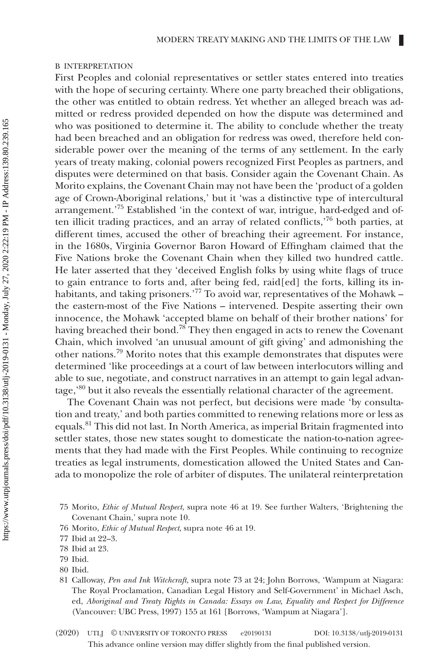#### B INTERPRETATION

First Peoples and colonial representatives or settler states entered into treaties with the hope of securing certainty. Where one party breached their obligations, the other was entitled to obtain redress. Yet whether an alleged breach was admitted or redress provided depended on how the dispute was determined and who was positioned to determine it. The ability to conclude whether the treaty had been breached and an obligation for redress was owed, therefore held considerable power over the meaning of the terms of any settlement. In the early years of treaty making, colonial powers recognized First Peoples as partners, and disputes were determined on that basis. Consider again the Covenant Chain. As Morito explains, the Covenant Chain may not have been the 'product of a golden age of Crown-Aboriginal relations,' but it 'was a distinctive type of intercultural arrangement.'75 Established 'in the context of war, intrigue, hard-edged and often illicit trading practices, and an array of related conflicts,'76 both parties, at different times, accused the other of breaching their agreement. For instance, in the 1680s, Virginia Governor Baron Howard of Effingham claimed that the Five Nations broke the Covenant Chain when they killed two hundred cattle. He later asserted that they 'deceived English folks by using white flags of truce to gain entrance to forts and, after being fed, raid[ed] the forts, killing its inhabitants, and taking prisoners.'<sup>77</sup> To avoid war, representatives of the Mohawk – the eastern-most of the Five Nations – intervened. Despite asserting their own innocence, the Mohawk 'accepted blame on behalf of their brother nations' for having breached their bond.<sup>78</sup> They then engaged in acts to renew the Covenant Chain, which involved 'an unusual amount of gift giving' and admonishing the other nations.79 Morito notes that this example demonstrates that disputes were determined 'like proceedings at a court of law between interlocutors willing and able to sue, negotiate, and construct narratives in an attempt to gain legal advantage,<sup>80</sup> but it also reveals the essentially relational character of the agreement.

The Covenant Chain was not perfect, but decisions were made 'by consultation and treaty,' and both parties committed to renewing relations more or less as equals.81 This did not last. In North America, as imperial Britain fragmented into settler states, those new states sought to domesticate the nation-to-nation agreements that they had made with the First Peoples. While continuing to recognize treaties as legal instruments, domestication allowed the United States and Canada to monopolize the role of arbiter of disputes. The unilateral reinterpretation

76 Morito, *Ethic of Mutual Respect*, supra note 46 at 19.

- 78 Ibid at 23.
- 79 Ibid.
- 80 Ibid.
- 81 Calloway, *Pen and Ink Witchcraft*, supra note 73 at 24; John Borrows, 'Wampum at Niagara: The Royal Proclamation, Canadian Legal History and Self-Government' in Michael Asch, ed, *Aboriginal and Treaty Rights in Canada: Essays on Law, Equality and Respect for Difference* (Vancouver: UBC Press, 1997) 155 at 161 [Borrows, 'Wampum at Niagara'].
- This advance online version may differ slightly from the final published version. (2020) UTLJ © UNIVERSITY OF TORONTO PRESS e20190131 DOI: 10.3138/utlj-2019-0131

<sup>75</sup> Morito, *Ethic of Mutual Respect*, supra note 46 at 19. See further Walters, 'Brightening the Covenant Chain,' supra note 10.

<sup>77</sup> Ibid at 22–3.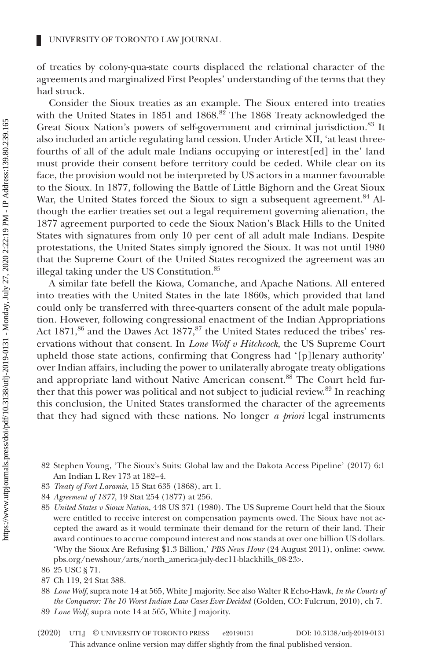of treaties by colony-qua-state courts displaced the relational character of the agreements and marginalized First Peoples' understanding of the terms that they had struck.

Consider the Sioux treaties as an example. The Sioux entered into treaties with the United States in 1851 and 1868.<sup>82</sup> The 1868 Treaty acknowledged the Great Sioux Nation's powers of self-government and criminal jurisdiction.<sup>83</sup> It also included an article regulating land cession. Under Article XII, 'at least threefourths of all of the adult male Indians occupying or interest[ed] in the' land must provide their consent before territory could be ceded. While clear on its face, the provision would not be interpreted by US actors in a manner favourable to the Sioux. In 1877, following the Battle of Little Bighorn and the Great Sioux War, the United States forced the Sioux to sign a subsequent agreement.<sup>84</sup> Although the earlier treaties set out a legal requirement governing alienation, the 1877 agreement purported to cede the Sioux Nation's Black Hills to the United States with signatures from only 10 per cent of all adult male Indians. Despite protestations, the United States simply ignored the Sioux. It was not until 1980 that the Supreme Court of the United States recognized the agreement was an illegal taking under the US Constitution.<sup>85</sup>

A similar fate befell the Kiowa, Comanche, and Apache Nations. All entered into treaties with the United States in the late 1860s, which provided that land could only be transferred with three-quarters consent of the adult male population. However, following congressional enactment of the Indian Appropriations Act  $1871$ ,<sup>86</sup> and the Dawes Act  $1877$ ,<sup>87</sup> the United States reduced the tribes' reservations without that consent. In *Lone Wolf v Hitchcock*, the US Supreme Court upheld those state actions, confirming that Congress had '[p]lenary authority' over Indian affairs, including the power to unilaterally abrogate treaty obligations and appropriate land without Native American consent.<sup>88</sup> The Court held further that this power was political and not subject to judicial review.<sup>89</sup> In reaching this conclusion, the United States transformed the character of the agreements that they had signed with these nations. No longer *a priori* legal instruments

- 82 Stephen Young, 'The Sioux's Suits: Global law and the Dakota Access Pipeline' (2017) 6:1 Am Indian L Rev 173 at 182–4.
- 83 *Treaty of Fort Laramie*, 15 Stat 635 (1868), art 1.
- 84 *Agreement of 1877*, 19 Stat 254 (1877) at 256.
- 85 *United States v Sioux Nation*, 448 US 371 (1980). The US Supreme Court held that the Sioux were entitled to receive interest on compensation payments owed. The Sioux have not accepted the award as it would terminate their demand for the return of their land. Their award continues to accrue compound interest and now stands at over one billion US dollars. 'Why the Sioux Are Refusing \$1.3 Billion,' *PBS News Hour* (24 August 2011), online: <[www.](http://www.pbs.org/newshour/arts/north_america-july-dec11-blackhills_08-23) [pbs.org/newshour/arts/north\\_america-july-dec11-blackhills\\_08-23>](http://www.pbs.org/newshour/arts/north_america-july-dec11-blackhills_08-23).

- 88 *Lone Wolf*, supra note 14 at 565, White J majority. See also Walter R Echo-Hawk, *In the Courts of the Conqueror: The 10 Worst Indian Law Cases Ever Decided* (Golden, CO: Fulcrum, 2010), ch 7.
- 89 *Lone Wolf*, supra note 14 at 565, White J majority.
- This advance online version may differ slightly from the final published version. (2020) UTLJ © UNIVERSITY OF TORONTO PRESS e20190131 DOI: 10.3138/utlj-2019-0131

<sup>86</sup> 25 USC § 71.

<sup>87</sup> Ch 119, 24 Stat 388.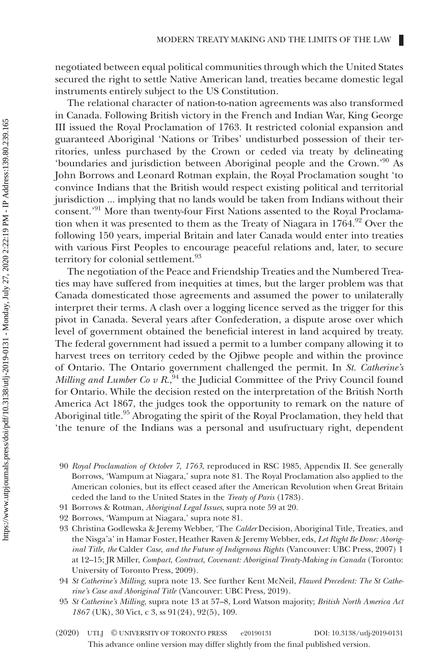negotiated between equal political communities through which the United States secured the right to settle Native American land, treaties became domestic legal instruments entirely subject to the US Constitution.

The relational character of nation-to-nation agreements was also transformed in Canada. Following British victory in the French and Indian War, King George III issued the Royal Proclamation of 1763. It restricted colonial expansion and guaranteed Aboriginal 'Nations or Tribes' undisturbed possession of their territories, unless purchased by the Crown or ceded via treaty by delineating 'boundaries and jurisdiction between Aboriginal people and the Crown.'90 As John Borrows and Leonard Rotman explain, the Royal Proclamation sought 'to convince Indians that the British would respect existing political and territorial jurisdiction ... implying that no lands would be taken from Indians without their consent.'<sup>91</sup> More than twenty-four First Nations assented to the Royal Proclamation when it was presented to them as the Treaty of Niagara in 1764.<sup>92</sup> Over the following 150 years, imperial Britain and later Canada would enter into treaties with various First Peoples to encourage peaceful relations and, later, to secure territory for colonial settlement.<sup>93</sup>

The negotiation of the Peace and Friendship Treaties and the Numbered Treaties may have suffered from inequities at times, but the larger problem was that Canada domesticated those agreements and assumed the power to unilaterally interpret their terms. A clash over a logging licence served as the trigger for this pivot in Canada. Several years after Confederation, a dispute arose over which level of government obtained the beneficial interest in land acquired by treaty. The federal government had issued a permit to a lumber company allowing it to harvest trees on territory ceded by the Ojibwe people and within the province of Ontario. The Ontario government challenged the permit. In *St. Catherine's Milling and Lumber Co v R.*<sup>94</sup> the Judicial Committee of the Privy Council found for Ontario. While the decision rested on the interpretation of the British North America Act 1867, the judges took the opportunity to remark on the nature of Aboriginal title.<sup>95</sup> Abrogating the spirit of the Royal Proclamation, they held that 'the tenure of the Indians was a personal and usufructuary right, dependent

- 90 *Royal Proclamation of October 7, 1763*, reproduced in RSC 1985, Appendix II. See generally Borrows, 'Wampum at Niagara,' supra note 81. The Royal Proclamation also applied to the American colonies, but its effect ceased after the American Revolution when Great Britain ceded the land to the United States in the *Treaty of Paris* (1783).
- 91 Borrows & Rotman, *Aboriginal Legal Issues*, supra note 59 at 20.
- 92 Borrows, 'Wampum at Niagara,' supra note 81.
- 93 Christina Godlewska & Jeremy Webber, 'The *Calder* Decision, Aboriginal Title, Treaties, and the Nisga'a' in Hamar Foster, Heather Raven & Jeremy Webber, eds, *Let Right Be Done: Aboriginal Title, the* Calder *Case, and the Future of Indigenous Rights* (Vancouver: UBC Press, 2007) 1 at 12–15; JR Miller, *Compact, Contract, Covenant: Aboriginal Treaty-Making in Canada* (Toronto: University of Toronto Press, 2009).
- 94 *St Catherine's Milling*, supra note 13. See further Kent McNeil, *Flawed Precedent: The St Catherine's Case and Aboriginal Title* (Vancouver: UBC Press, 2019).
- 95 *St Catherine's Milling*, supra note 13 at 57–8, Lord Watson majority; *British North America Act 1867* (UK), 30 Vict, c 3, ss 91(24), 92(5), 109.
- This advance online version may differ slightly from the final published version. (2020) UTLJ © UNIVERSITY OF TORONTO PRESS e20190131 DOI: 10.3138/utlj-2019-0131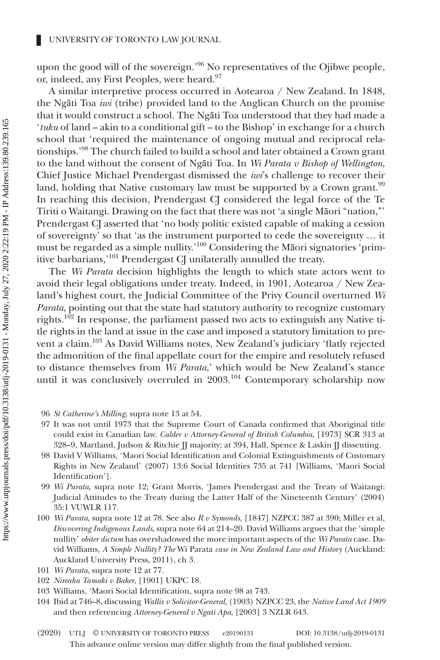upon the good will of the sovereign.<sup>'96</sup> No representatives of the Ojibwe people, or, indeed, any First Peoples, were heard.<sup>97</sup>

A similar interpretive process occurred in Aotearoa / New Zealand. In 1848, the Ngāti Toa *iwi* (tribe) provided land to the Anglican Church on the promise that it would construct a school. The Ngāti Toa understood that they had made a '*tuku* of land – akin to a conditional gift – to the Bishop' in exchange for a church school that 'required the maintenance of ongoing mutual and reciprocal relationships.'98 The church failed to build a school and later obtained a Crown grant to the land without the consent of Ngāti Toa. In *Wi Parata v Bishop of Wellington*, Chief Justice Michael Prendergast dismissed the *iwi*'s challenge to recover their land, holding that Native customary law must be supported by a Crown grant.<sup>99</sup> In reaching this decision, Prendergast CJ considered the legal force of the Te Tiriti o Waitangi. Drawing on the fact that there was not 'a single Māori "nation,"' Prendergast CJ asserted that 'no body politic existed capable of making a cession of sovereignty' so that 'as the instrument purported to cede the sovereignty … it must be regarded as a simple nullity.'100 Considering the Māori signatories 'primitive barbarians,'<sup>101</sup> Prendergast CJ unilaterally annulled the treaty.

The *Wi Parata* decision highlights the length to which state actors went to avoid their legal obligations under treaty. Indeed, in 1901, Aotearoa / New Zealand's highest court, the Judicial Committee of the Privy Council overturned *Wi Parata*, pointing out that the state had statutory authority to recognize customary rights.<sup>102</sup> In response, the parliament passed two acts to extinguish any Native title rights in the land at issue in the case and imposed a statutory limitation to prevent a claim.103 As David Williams notes, New Zealand's judiciary 'flatly rejected the admonition of the final appellate court for the empire and resolutely refused to distance themselves from *Wi Parata*,' which would be New Zealand's stance until it was conclusively overruled in 2003.<sup>104</sup> Contemporary scholarship now

- 96 *St Catherine's Milling*, supra note 13 at 54.
- 97 It was not until 1973 that the Supreme Court of Canada confirmed that Aboriginal title could exist in Canadian law. *Calder v Attorney-General of British Columbia*, [1973] SCR 313 at 328–9, Martland, Judson & Ritchie JJ majority; at 394, Hall, Spence & Laskin JJ dissenting.
- 98 David V Williams, 'Maori Social Identification and Colonial Extinguishments of Customary Rights in New Zealand' (2007) 13:6 Social Identities 735 at 741 [Williams, 'Maori Social Identification'].
- 99 *Wi Parata*, supra note 12; Grant Morris, 'James Prendergast and the Treaty of Waitangi: Judicial Attitudes to the Treaty during the Latter Half of the Nineteenth Century' (2004) 35:1 VUWLR 117.
- 100 *Wi Parata*, supra note 12 at 78. See also *R v Symonds*, [1847] NZPCC 387 at 390; Miller et al, *Discovering Indigenous Lands*, supra note 64 at 214–20. David Williams argues that the 'simple nullity' *obiter dictum* has overshadowed the more important aspects of the *Wi Parata* case. David Williams, *A Simple Nullity? The* Wi Parata *case in New Zealand Law and History* (Auckland: Auckland University Press, 2011), ch 3.
- 101 *Wi Parata*, supra note 12 at 77.
- 102 *Nireaha Tamaki v Baker*, [1901] UKPC 18.
- 103 Williams, 'Maori Social Identification, supra note 98 at 743.
- 104 Ibid at 746–8, discussing *Wallis v Solicitor-General*, (1903) NZPCC 23, the *Native Land Act 1909* and then referencing *Attorney-General v Ngati Apa*, [2003] 3 NZLR 643.
- This advance online version may differ slightly from the final published version. (2020) UTLJ © UNIVERSITY OF TORONTO PRESS e20190131 DOI: 10.3138/utlj-2019-0131

Ш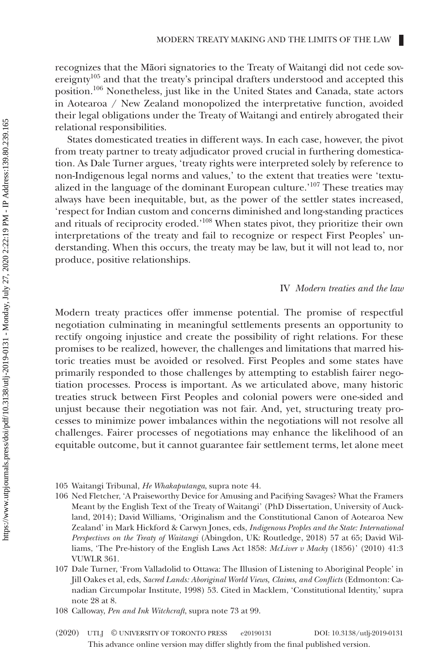recognizes that the Māori signatories to the Treaty of Waitangi did not cede sovereignty<sup>105</sup> and that the treaty's principal drafters understood and accepted this position.106 Nonetheless, just like in the United States and Canada, state actors in Aotearoa / New Zealand monopolized the interpretative function, avoided their legal obligations under the Treaty of Waitangi and entirely abrogated their relational responsibilities.

States domesticated treaties in different ways. In each case, however, the pivot from treaty partner to treaty adjudicator proved crucial in furthering domestication. As Dale Turner argues, 'treaty rights were interpreted solely by reference to non-Indigenous legal norms and values,' to the extent that treaties were 'textualized in the language of the dominant European culture.'107 These treaties may always have been inequitable, but, as the power of the settler states increased, 'respect for Indian custom and concerns diminished and long-standing practices and rituals of reciprocity eroded.'108 When states pivot, they prioritize their own interpretations of the treaty and fail to recognize or respect First Peoples' understanding. When this occurs, the treaty may be law, but it will not lead to, nor produce, positive relationships.

## IV *Modern treaties and the law*

Modern treaty practices offer immense potential. The promise of respectful negotiation culminating in meaningful settlements presents an opportunity to rectify ongoing injustice and create the possibility of right relations. For these promises to be realized, however, the challenges and limitations that marred historic treaties must be avoided or resolved. First Peoples and some states have primarily responded to those challenges by attempting to establish fairer negotiation processes. Process is important. As we articulated above, many historic treaties struck between First Peoples and colonial powers were one-sided and unjust because their negotiation was not fair. And, yet, structuring treaty processes to minimize power imbalances within the negotiations will not resolve all challenges. Fairer processes of negotiations may enhance the likelihood of an equitable outcome, but it cannot guarantee fair settlement terms, let alone meet

This advance online version may differ slightly from the final published version. (2020) UTLJ © UNIVERSITY OF TORONTO PRESS e20190131 DOI: 10.3138/utlj-2019-0131

<sup>105</sup> Waitangi Tribunal, *He Whakaputanga*, supra note 44.

<sup>106</sup> Ned Fletcher, 'A Praiseworthy Device for Amusing and Pacifying Savages? What the Framers Meant by the English Text of the Treaty of Waitangi' (PhD Dissertation, University of Auckland, 2014); David Williams, 'Originalism and the Constitutional Canon of Aotearoa New Zealand' in Mark Hickford & Carwyn Jones, eds, *Indigenous Peoples and the State: International Perspectives on the Treaty of Waitangi* (Abingdon, UK: Routledge, 2018) 57 at 65; David Williams, 'The Pre-history of the English Laws Act 1858: *McLiver v Macky* (1856)' (2010) 41:3 VUWLR 361.

<sup>107</sup> Dale Turner, 'From Valladolid to Ottawa: The Illusion of Listening to Aboriginal People' in Jill Oakes et al, eds, *Sacred Lands: Aboriginal World Views, Claims, and Conflicts* (Edmonton: Canadian Circumpolar Institute, 1998) 53. Cited in Macklem, 'Constitutional Identity,' supra note 28 at 8.

<sup>108</sup> Calloway, *Pen and Ink Witchcraft*, supra note 73 at 99.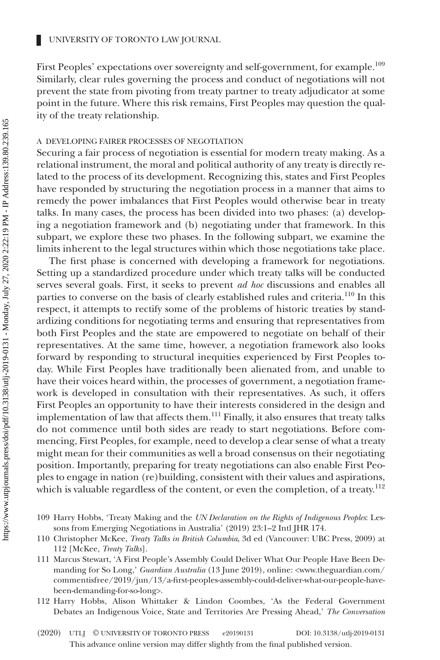First Peoples' expectations over sovereignty and self-government, for example.<sup>109</sup> Similarly, clear rules governing the process and conduct of negotiations will not prevent the state from pivoting from treaty partner to treaty adjudicator at some point in the future. Where this risk remains, First Peoples may question the quality of the treaty relationship.

#### A DEVELOPING FAIRER PROCESSES OF NEGOTIATION

Securing a fair process of negotiation is essential for modern treaty making. As a relational instrument, the moral and political authority of any treaty is directly related to the process of its development. Recognizing this, states and First Peoples have responded by structuring the negotiation process in a manner that aims to remedy the power imbalances that First Peoples would otherwise bear in treaty talks. In many cases, the process has been divided into two phases: (a) developing a negotiation framework and (b) negotiating under that framework. In this subpart, we explore these two phases. In the following subpart, we examine the limits inherent to the legal structures within which those negotiations take place.

The first phase is concerned with developing a framework for negotiations. Setting up a standardized procedure under which treaty talks will be conducted serves several goals. First, it seeks to prevent *ad hoc* discussions and enables all parties to converse on the basis of clearly established rules and criteria.<sup>110</sup> In this respect, it attempts to rectify some of the problems of historic treaties by standardizing conditions for negotiating terms and ensuring that representatives from both First Peoples and the state are empowered to negotiate on behalf of their representatives. At the same time, however, a negotiation framework also looks forward by responding to structural inequities experienced by First Peoples today. While First Peoples have traditionally been alienated from, and unable to have their voices heard within, the processes of government, a negotiation framework is developed in consultation with their representatives. As such, it offers First Peoples an opportunity to have their interests considered in the design and implementation of law that affects them.111 Finally, it also ensures that treaty talks do not commence until both sides are ready to start negotiations. Before commencing, First Peoples, for example, need to develop a clear sense of what a treaty might mean for their communities as well a broad consensus on their negotiating position. Importantly, preparing for treaty negotiations can also enable First Peoples to engage in nation (re)building, consistent with their values and aspirations, which is valuable regardless of the content, or even the completion, of a treaty.<sup>112</sup>

- 109 Harry Hobbs, 'Treaty Making and the *UN Declaration on the Rights of Indigenous Peoples*: Lessons from Emerging Negotiations in Australia' (2019) 23:1–2 Intl JHR 174.
- 110 Christopher McKee, *Treaty Talks in British Columbia*, 3d ed (Vancouver: UBC Press, 2009) at 112 [McKee, *Treaty Talks*].
- 111 Marcus Stewart, 'A First People's Assembly Could Deliver What Our People Have Been Demanding for So Long,' *Guardian Australia* (13 June 2019), online: [<www.theguardian.com/](http://www.theguardian.com/commentisfree/2019/jun/13/a-first-peoples-assembly-could-deliver-what-our-people-have-been-demanding-for-so-long) [commentisfree/2019/jun/13/a-first-peoples-assembly-could-deliver-what-our-people-have](http://www.theguardian.com/commentisfree/2019/jun/13/a-first-peoples-assembly-could-deliver-what-our-people-have-been-demanding-for-so-long)[been-demanding-for-so-long>](http://www.theguardian.com/commentisfree/2019/jun/13/a-first-peoples-assembly-could-deliver-what-our-people-have-been-demanding-for-so-long).
- 112 Harry Hobbs, Alison Whittaker & Lindon Coombes, 'As the Federal Government Debates an Indigenous Voice, State and Territories Are Pressing Ahead,' *The Conversation*

Ш

This advance online version may differ slightly from the final published version. (2020) UTLJ © UNIVERSITY OF TORONTO PRESS e20190131 DOI: 10.3138/utlj-2019-0131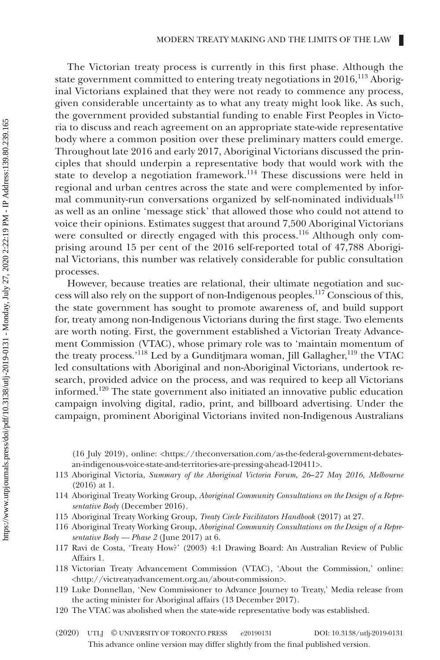The Victorian treaty process is currently in this first phase. Although the state government committed to entering treaty negotiations in  $2016$ ,  $^{113}$  Aboriginal Victorians explained that they were not ready to commence any process, given considerable uncertainty as to what any treaty might look like. As such, the government provided substantial funding to enable First Peoples in Victoria to discuss and reach agreement on an appropriate state-wide representative body where a common position over these preliminary matters could emerge. Throughout late 2016 and early 2017, Aboriginal Victorians discussed the principles that should underpin a representative body that would work with the state to develop a negotiation framework.<sup>114</sup> These discussions were held in regional and urban centres across the state and were complemented by informal community-run conversations organized by self-nominated individuals<sup>115</sup> as well as an online 'message stick' that allowed those who could not attend to voice their opinions. Estimates suggest that around 7,500 Aboriginal Victorians were consulted or directly engaged with this process.<sup>116</sup> Although only comprising around 15 per cent of the 2016 self-reported total of 47,788 Aboriginal Victorians, this number was relatively considerable for public consultation processes.

However, because treaties are relational, their ultimate negotiation and success will also rely on the support of non-Indigenous peoples.117 Conscious of this, the state government has sought to promote awareness of, and build support for, treaty among non-Indigenous Victorians during the first stage. Two elements are worth noting. First, the government established a Victorian Treaty Advancement Commission (VTAC), whose primary role was to 'maintain momentum of the treaty process.'<sup>118</sup> Led by a Gunditjmara woman, Jill Gallagher,<sup>119</sup> the VTAC led consultations with Aboriginal and non-Aboriginal Victorians, undertook research, provided advice on the process, and was required to keep all Victorians informed.120 The state government also initiated an innovative public education campaign involving digital, radio, print, and billboard advertising. Under the campaign, prominent Aboriginal Victorians invited non-Indigenous Australians

(16 July 2019), online: <[https://theconversation.com/as-the-federal-government-debates](https://theconversation.com/as-the-federal-government-debates-an-indigenous-voice-state-and-territories-are-pressing-ahead-120411)[an-indigenous-voice-state-and-territories-are-pressing-ahead-120411>](https://theconversation.com/as-the-federal-government-debates-an-indigenous-voice-state-and-territories-are-pressing-ahead-120411).

- 113 Aboriginal Victoria, *Summary of the Aboriginal Victoria Forum, 26*–*27 May 2016, Melbourne* (2016) at 1.
- 114 Aboriginal Treaty Working Group, *Aboriginal Community Consultations on the Design of a Representative Body* (December 2016).
- 115 Aboriginal Treaty Working Group, *Treaty Circle Facilitators Handbook* (2017) at 27.
- 116 Aboriginal Treaty Working Group, *Aboriginal Community Consultations on the Design of a Representative Body — Phase 2* (June 2017) at 6.
- 117 Ravi de Costa, 'Treaty How?' (2003) 4:1 Drawing Board: An Australian Review of Public Affairs 1.
- 118 Victorian Treaty Advancement Commission (VTAC), 'About the Commission,' online: <<http://victreatyadvancement.org.au/about-commission>>.
- 119 Luke Donnellan, 'New Commissioner to Advance Journey to Treaty,' Media release from the acting minister for Aboriginal affairs (13 December 2017).
- 120 The VTAC was abolished when the state-wide representative body was established.
- This advance online version may differ slightly from the final published version. (2020) UTLJ © UNIVERSITY OF TORONTO PRESS e20190131 DOI: 10.3138/utlj-2019-0131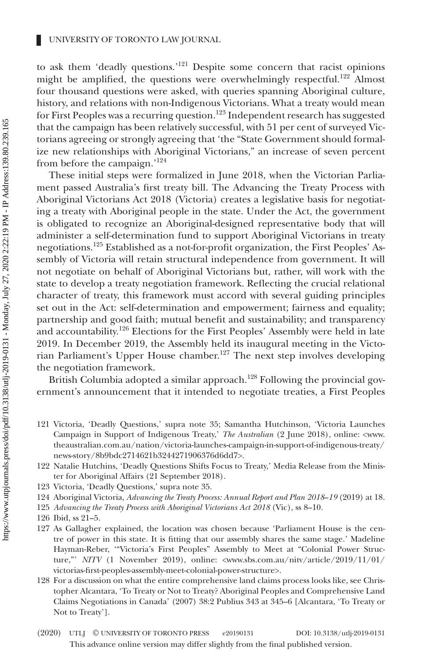to ask them 'deadly questions.'121 Despite some concern that racist opinions might be amplified, the questions were overwhelmingly respectful.<sup>122</sup> Almost four thousand questions were asked, with queries spanning Aboriginal culture, history, and relations with non-Indigenous Victorians. What a treaty would mean for First Peoples was a recurring question.<sup>123</sup> Independent research has suggested that the campaign has been relatively successful, with 51 per cent of surveyed Victorians agreeing or strongly agreeing that 'the "State Government should formalize new relationships with Aboriginal Victorians," an increase of seven percent from before the campaign.'124

These initial steps were formalized in June 2018, when the Victorian Parliament passed Australia's first treaty bill. The Advancing the Treaty Process with Aboriginal Victorians Act 2018 (Victoria) creates a legislative basis for negotiating a treaty with Aboriginal people in the state. Under the Act, the government is obligated to recognize an Aboriginal-designed representative body that will administer a self-determination fund to support Aboriginal Victorians in treaty negotiations.125 Established as a not-for-profit organization, the First Peoples' Assembly of Victoria will retain structural independence from government. It will not negotiate on behalf of Aboriginal Victorians but, rather, will work with the state to develop a treaty negotiation framework. Reflecting the crucial relational character of treaty, this framework must accord with several guiding principles set out in the Act: self-determination and empowerment; fairness and equality; partnership and good faith; mutual benefit and sustainability; and transparency and accountability.<sup>126</sup> Elections for the First Peoples' Assembly were held in late 2019. In December 2019, the Assembly held its inaugural meeting in the Victorian Parliament's Upper House chamber.127 The next step involves developing the negotiation framework.

British Columbia adopted a similar approach.<sup>128</sup> Following the provincial government's announcement that it intended to negotiate treaties, a First Peoples

- 121 Victoria, 'Deadly Questions,' supra note 35; Samantha Hutchinson, 'Victoria Launches Campaign in Support of Indigenous Treaty,' *The Australian* (2 June 2018), online: <[www.](http://www.theaustralian.com.au/nation/victoria-launches-campaign-in-support-of-indigenous-treaty/news-story/8b9bdc2714621b3244271906376d6dd7) [theaustralian.com.au/nation/victoria-launches-campaign-in-support-of-indigenous-treaty/](http://www.theaustralian.com.au/nation/victoria-launches-campaign-in-support-of-indigenous-treaty/news-story/8b9bdc2714621b3244271906376d6dd7) [news-story/8b9bdc2714621b3244271906376d6dd7>](http://www.theaustralian.com.au/nation/victoria-launches-campaign-in-support-of-indigenous-treaty/news-story/8b9bdc2714621b3244271906376d6dd7).
- 122 Natalie Hutchins, 'Deadly Questions Shifts Focus to Treaty,' Media Release from the Minister for Aboriginal Affairs (21 September 2018).
- 123 Victoria, 'Deadly Questions,' supra note 35.
- 124 Aboriginal Victoria, *Advancing the Treaty Process: Annual Report and Plan 2018*–*19* (2019) at 18.
- 125 *Advancing the Treaty Process with Aboriginal Victorians Act 2018* (Vic), ss 8–10.
- 126 Ibid, ss 21–5.
- 127 As Gallagher explained, the location was chosen because 'Parliament House is the centre of power in this state. It is fitting that our assembly shares the same stage.' Madeline Hayman-Reber, '"Victoria's First Peoples" Assembly to Meet at "Colonial Power Structure,"' *NITV* (1 November 2019), online: <[www.sbs.com.au/nitv/article/2019/11/01/](http://www.sbs.com.au/nitv/article/2019/11/01/victorias-first-peoples-assembly-meet-colonial-power-structure) [victorias-first-peoples-assembly-meet-colonial-power-structure>](http://www.sbs.com.au/nitv/article/2019/11/01/victorias-first-peoples-assembly-meet-colonial-power-structure).
- 128 For a discussion on what the entire comprehensive land claims process looks like, see Christopher Alcantara, 'To Treaty or Not to Treaty? Aboriginal Peoples and Comprehensive Land Claims Negotiations in Canada' (2007) 38:2 Publius 343 at 345–6 [Alcantara, 'To Treaty or Not to Treaty'].
- This advance online version may differ slightly from the final published version. (2020) UTLJ © UNIVERSITY OF TORONTO PRESS e20190131 DOI: 10.3138/utlj-2019-0131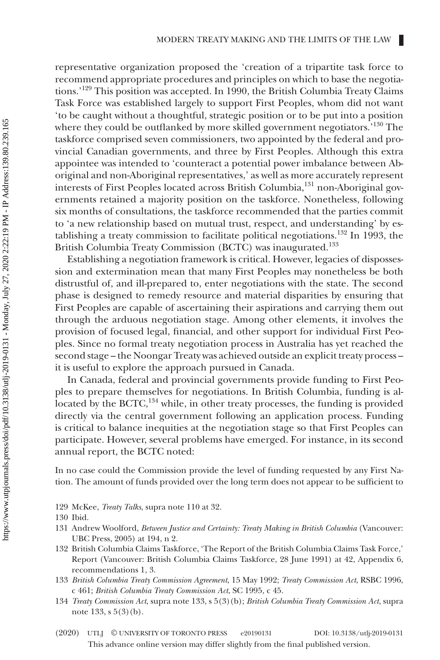representative organization proposed the 'creation of a tripartite task force to recommend appropriate procedures and principles on which to base the negotiations.'129 This position was accepted. In 1990, the British Columbia Treaty Claims Task Force was established largely to support First Peoples, whom did not want 'to be caught without a thoughtful, strategic position or to be put into a position where they could be outflanked by more skilled government negotiators.<sup>'130</sup> The taskforce comprised seven commissioners, two appointed by the federal and provincial Canadian governments, and three by First Peoples. Although this extra appointee was intended to 'counteract a potential power imbalance between Aboriginal and non-Aboriginal representatives,' as well as more accurately represent interests of First Peoples located across British Columbia,131 non-Aboriginal governments retained a majority position on the taskforce. Nonetheless, following six months of consultations, the taskforce recommended that the parties commit to 'a new relationship based on mutual trust, respect, and understanding' by establishing a treaty commission to facilitate political negotiations.132 In 1993, the British Columbia Treaty Commission (BCTC) was inaugurated.133

Establishing a negotiation framework is critical. However, legacies of dispossession and extermination mean that many First Peoples may nonetheless be both distrustful of, and ill-prepared to, enter negotiations with the state. The second phase is designed to remedy resource and material disparities by ensuring that First Peoples are capable of ascertaining their aspirations and carrying them out through the arduous negotiation stage. Among other elements, it involves the provision of focused legal, financial, and other support for individual First Peoples. Since no formal treaty negotiation process in Australia has yet reached the second stage – the Noongar Treaty was achieved outside an explicit treaty process – it is useful to explore the approach pursued in Canada.

In Canada, federal and provincial governments provide funding to First Peoples to prepare themselves for negotiations. In British Columbia, funding is allocated by the BCTC,<sup>134</sup> while, in other treaty processes, the funding is provided directly via the central government following an application process. Funding is critical to balance inequities at the negotiation stage so that First Peoples can participate. However, several problems have emerged. For instance, in its second annual report, the BCTC noted:

In no case could the Commission provide the level of funding requested by any First Nation. The amount of funds provided over the long term does not appear to be sufficient to

129 McKee, *Treaty Talks*, supra note 110 at 32.

- 131 Andrew Woolford, *Between Justice and Certainty: Treaty Making in British Columbia* (Vancouver: UBC Press, 2005) at 194, n 2.
- 132 British Columbia Claims Taskforce, 'The Report of the British Columbia Claims Task Force,' Report (Vancouver: British Columbia Claims Taskforce, 28 June 1991) at 42, Appendix 6, recommendations 1, 3.
- 133 *British Columbia Treaty Commission Agreement*, 15 May 1992; *Treaty Commission Act*, RSBC 1996, c 461; *British Columbia Treaty Commission Act*, SC 1995, c 45.
- 134 *Treaty Commission Act*, supra note 133, s 5(3)(b); *British Columbia Treaty Commission Act*, supra note 133, s 5(3)(b).
- This advance online version may differ slightly from the final published version. (2020) UTLJ © UNIVERSITY OF TORONTO PRESS e20190131 DOI: 10.3138/utlj-2019-0131

<sup>130</sup> Ibid.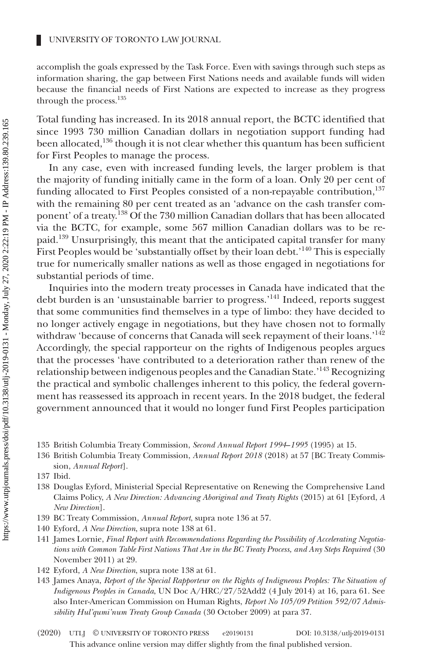accomplish the goals expressed by the Task Force. Even with savings through such steps as information sharing, the gap between First Nations needs and available funds will widen because the financial needs of First Nations are expected to increase as they progress through the process.<sup>135</sup>

Total funding has increased. In its 2018 annual report, the BCTC identified that since 1993 730 million Canadian dollars in negotiation support funding had been allocated,<sup>136</sup> though it is not clear whether this quantum has been sufficient for First Peoples to manage the process.

In any case, even with increased funding levels, the larger problem is that the majority of funding initially came in the form of a loan. Only 20 per cent of funding allocated to First Peoples consisted of a non-repayable contribution,<sup>137</sup> with the remaining 80 per cent treated as an 'advance on the cash transfer component' of a treaty.138 Of the 730 million Canadian dollars that has been allocated via the BCTC, for example, some 567 million Canadian dollars was to be repaid.<sup>139</sup> Unsurprisingly, this meant that the anticipated capital transfer for many First Peoples would be 'substantially offset by their loan debt.'<sup>140</sup> This is especially true for numerically smaller nations as well as those engaged in negotiations for substantial periods of time.

Inquiries into the modern treaty processes in Canada have indicated that the debt burden is an 'unsustainable barrier to progress.'141 Indeed, reports suggest that some communities find themselves in a type of limbo: they have decided to no longer actively engage in negotiations, but they have chosen not to formally withdraw 'because of concerns that Canada will seek repayment of their loans.<sup>'142</sup> Accordingly, the special rapporteur on the rights of Indigenous peoples argues that the processes 'have contributed to a deterioration rather than renew of the relationship between indigenous peoples and the Canadian State.'143 Recognizing the practical and symbolic challenges inherent to this policy, the federal government has reassessed its approach in recent years. In the 2018 budget, the federal government announced that it would no longer fund First Peoples participation

- 135 British Columbia Treaty Commission, *Second Annual Report 1994*–*1995* (1995) at 15.
- 136 British Columbia Treaty Commission, *Annual Report 2018* (2018) at 57 [BC Treaty Commission, *Annual Report*].
- 137 Ibid.
- 138 Douglas Eyford, Ministerial Special Representative on Renewing the Comprehensive Land Claims Policy, *A New Direction: Advancing Aboriginal and Treaty Rights* (2015) at 61 [Eyford, *A New Direction*].
- 139 BC Treaty Commission, *Annual Report*, supra note 136 at 57.
- 140 Eyford, *A New Direction*, supra note 138 at 61.
- 141 James Lornie, *Final Report with Recommendations Regarding the Possibility of Accelerating Negotiations with Common Table First Nations That Are in the BC Treaty Process, and Any Steps Required* (30 November 2011) at 29.
- 142 Eyford, *A New Direction*, supra note 138 at 61.
- 143 James Anaya, *Report of the Special Rapporteur on the Rights of Indigneous Peoples: The Situation of Indigenous Peoples in Canada*, UN Doc A/HRC/27/52Add2 (4 July 2014) at 16, para 61. See also Inter-American Commission on Human Rights, *Report No 105/09 Petition 592/07 Admissibility Hul'qumi'num Treaty Group Canada* (30 October 2009) at para 37.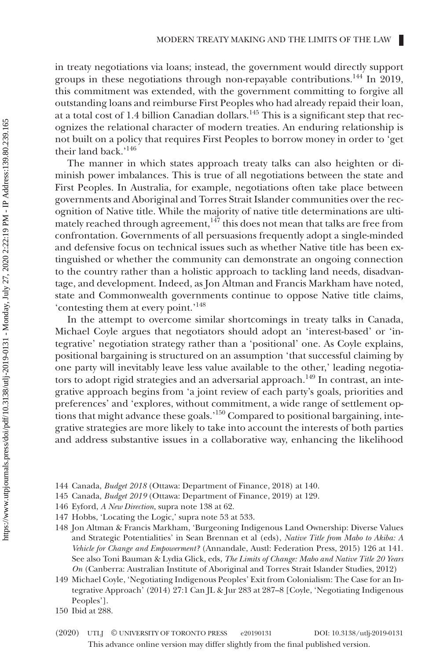in treaty negotiations via loans; instead, the government would directly support groups in these negotiations through non-repayable contributions.<sup>144</sup> In 2019, this commitment was extended, with the government committing to forgive all outstanding loans and reimburse First Peoples who had already repaid their loan, at a total cost of 1.4 billion Canadian dollars.145 This is a significant step that recognizes the relational character of modern treaties. An enduring relationship is not built on a policy that requires First Peoples to borrow money in order to 'get their land back.'146

The manner in which states approach treaty talks can also heighten or diminish power imbalances. This is true of all negotiations between the state and First Peoples. In Australia, for example, negotiations often take place between governments and Aboriginal and Torres Strait Islander communities over the recognition of Native title. While the majority of native title determinations are ultimately reached through agreement, $147$  this does not mean that talks are free from confrontation. Governments of all persuasions frequently adopt a single-minded and defensive focus on technical issues such as whether Native title has been extinguished or whether the community can demonstrate an ongoing connection to the country rather than a holistic approach to tackling land needs, disadvantage, and development. Indeed, as Jon Altman and Francis Markham have noted, state and Commonwealth governments continue to oppose Native title claims, 'contesting them at every point.'148

In the attempt to overcome similar shortcomings in treaty talks in Canada, Michael Coyle argues that negotiators should adopt an 'interest-based' or 'integrative' negotiation strategy rather than a 'positional' one. As Coyle explains, positional bargaining is structured on an assumption 'that successful claiming by one party will inevitably leave less value available to the other,' leading negotiators to adopt rigid strategies and an adversarial approach.<sup>149</sup> In contrast, an integrative approach begins from 'a joint review of each party's goals, priorities and preferences' and 'explores, without commitment, a wide range of settlement options that might advance these goals.'150 Compared to positional bargaining, integrative strategies are more likely to take into account the interests of both parties and address substantive issues in a collaborative way, enhancing the likelihood

- 144 Canada, *Budget 2018* (Ottawa: Department of Finance, 2018) at 140.
- 145 Canada, *Budget 2019* (Ottawa: Department of Finance, 2019) at 129.
- 146 Eyford, *A New Direction*, supra note 138 at 62.
- 147 Hobbs, 'Locating the Logic,' supra note 53 at 533.
- 148 Jon Altman & Francis Markham, 'Burgeoning Indigenous Land Ownership: Diverse Values and Strategic Potentialities' in Sean Brennan et al (eds), *Native Title from Mabo to Akiba: A Vehicle for Change and Empowerment?* (Annandale, Austl: Federation Press, 2015) 126 at 141. See also Toni Bauman & Lydia Glick, eds, *The Limits of Change: Mabo and Native Title 20 Years On* (Canberra: Australian Institute of Aboriginal and Torres Strait Islander Studies, 2012)
- 149 Michael Coyle, 'Negotiating Indigenous Peoples' Exit from Colonialism: The Case for an Integrative Approach' (2014) 27:1 Can JL & Jur 283 at 287–8 [Coyle, 'Negotiating Indigenous Peoples'].
- 150 Ibid at 288.
- This advance online version may differ slightly from the final published version. (2020) UTLJ © UNIVERSITY OF TORONTO PRESS e20190131 DOI: 10.3138/utlj-2019-0131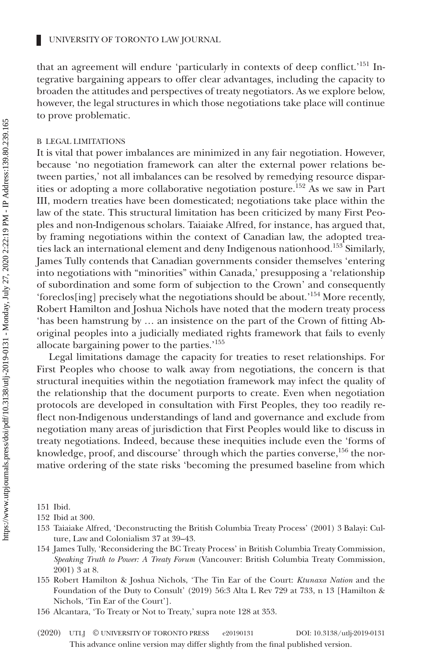that an agreement will endure 'particularly in contexts of deep conflict.'<sup>151</sup> Integrative bargaining appears to offer clear advantages, including the capacity to broaden the attitudes and perspectives of treaty negotiators. As we explore below, however, the legal structures in which those negotiations take place will continue to prove problematic.

#### B LEGAL LIMITATIONS

Ш

It is vital that power imbalances are minimized in any fair negotiation. However, because 'no negotiation framework can alter the external power relations between parties,' not all imbalances can be resolved by remedying resource disparities or adopting a more collaborative negotiation posture.152 As we saw in Part III, modern treaties have been domesticated; negotiations take place within the law of the state. This structural limitation has been criticized by many First Peoples and non-Indigenous scholars. Taiaiake Alfred, for instance, has argued that, by framing negotiations within the context of Canadian law, the adopted treaties lack an international element and deny Indigenous nationhood.<sup>153</sup> Similarly, James Tully contends that Canadian governments consider themselves 'entering into negotiations with "minorities" within Canada,' presupposing a 'relationship of subordination and some form of subjection to the Crown' and consequently 'foreclos[ing] precisely what the negotiations should be about.'154 More recently, Robert Hamilton and Joshua Nichols have noted that the modern treaty process 'has been hamstrung by … an insistence on the part of the Crown of fitting Aboriginal peoples into a judicially mediated rights framework that fails to evenly allocate bargaining power to the parties.'155

Legal limitations damage the capacity for treaties to reset relationships. For First Peoples who choose to walk away from negotiations, the concern is that structural inequities within the negotiation framework may infect the quality of the relationship that the document purports to create. Even when negotiation protocols are developed in consultation with First Peoples, they too readily reflect non-Indigenous understandings of land and governance and exclude from negotiation many areas of jurisdiction that First Peoples would like to discuss in treaty negotiations. Indeed, because these inequities include even the 'forms of knowledge, proof, and discourse' through which the parties converse,<sup>156</sup> the normative ordering of the state risks 'becoming the presumed baseline from which

- 153 Taiaiake Alfred, 'Deconstructing the British Columbia Treaty Process' (2001) 3 Balayi: Culture, Law and Colonialism 37 at 39–43.
- 154 James Tully, 'Reconsidering the BC Treaty Process' in British Columbia Treaty Commission, *Speaking Truth to Power: A Treaty Forum* (Vancouver: British Columbia Treaty Commission, 2001) 3 at 8.
- 155 Robert Hamilton & Joshua Nichols, 'The Tin Ear of the Court: *Ktunaxa Nation* and the Foundation of the Duty to Consult' (2019) 56:3 Alta L Rev 729 at 733, n 13 [Hamilton & Nichols, 'Tin Ear of the Court'].
- 156 Alcantara, 'To Treaty or Not to Treaty,' supra note 128 at 353.
- This advance online version may differ slightly from the final published version. (2020) UTLJ © UNIVERSITY OF TORONTO PRESS e20190131 DOI: 10.3138/utlj-2019-0131

<sup>151</sup> Ibid.

<sup>152</sup> Ibid at 300.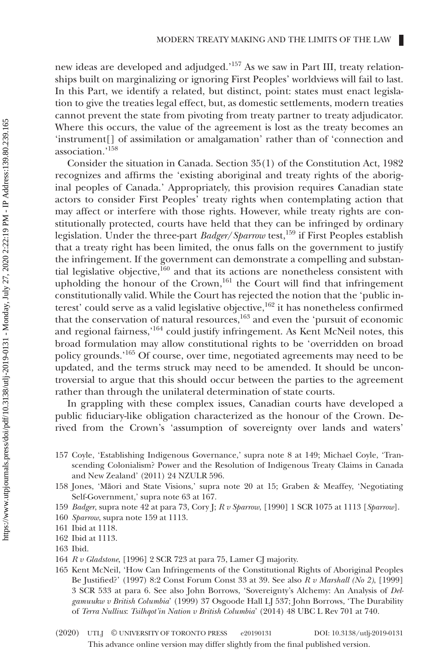new ideas are developed and adjudged.<sup>157</sup> As we saw in Part III, treaty relationships built on marginalizing or ignoring First Peoples' worldviews will fail to last. In this Part, we identify a related, but distinct, point: states must enact legislation to give the treaties legal effect, but, as domestic settlements, modern treaties cannot prevent the state from pivoting from treaty partner to treaty adjudicator. Where this occurs, the value of the agreement is lost as the treaty becomes an 'instrument[] of assimilation or amalgamation' rather than of 'connection and association.'158

Consider the situation in Canada. Section 35(1) of the Constitution Act, 1982 recognizes and affirms the 'existing aboriginal and treaty rights of the aboriginal peoples of Canada.' Appropriately, this provision requires Canadian state actors to consider First Peoples' treaty rights when contemplating action that may affect or interfere with those rights. However, while treaty rights are constitutionally protected, courts have held that they can be infringed by ordinary legislation. Under the three-part *Badger*/*Sparrow* test,159 if First Peoples establish that a treaty right has been limited, the onus falls on the government to justify the infringement. If the government can demonstrate a compelling and substantial legislative objective, $160$  and that its actions are nonetheless consistent with upholding the honour of the Crown,<sup>161</sup> the Court will find that infringement constitutionally valid. While the Court has rejected the notion that the 'public interest' could serve as a valid legislative objective,  $162$  it has nonetheless confirmed that the conservation of natural resources,<sup>163</sup> and even the 'pursuit of economic and regional fairness,'164 could justify infringement. As Kent McNeil notes, this broad formulation may allow constitutional rights to be 'overridden on broad policy grounds.'165 Of course, over time, negotiated agreements may need to be updated, and the terms struck may need to be amended. It should be uncontroversial to argue that this should occur between the parties to the agreement rather than through the unilateral determination of state courts.

In grappling with these complex issues, Canadian courts have developed a public fiduciary-like obligation characterized as the honour of the Crown. Derived from the Crown's 'assumption of sovereignty over lands and waters'

- 157 Coyle, 'Establishing Indigenous Governance,' supra note 8 at 149; Michael Coyle, 'Transcending Colonialism? Power and the Resolution of Indigenous Treaty Claims in Canada and New Zealand' (2011) 24 NZULR 596.
- 158 Jones, 'Māori and State Visions,' supra note 20 at 15; Graben & Meaffey, 'Negotiating Self-Government,' supra note 63 at 167.
- 159 *Badger*, supra note 42 at para 73, Cory J; *R v Sparrow*, [1990] 1 SCR 1075 at 1113 [*Sparrow*].
- 160 *Sparrow*, supra note 159 at 1113.
- 161 Ibid at 1118.
- 162 Ibid at 1113.
- 163 Ibid.
- 164 *R v Gladstone*, [1996] 2 SCR 723 at para 75, Lamer CJ majority.
- 165 Kent McNeil, 'How Can Infringements of the Constitutional Rights of Aboriginal Peoples Be Justified?' (1997) 8:2 Const Forum Const 33 at 39. See also *R v Marshall (No 2)*, [1999] 3 SCR 533 at para 6. See also John Borrows, 'Sovereignty's Alchemy: An Analysis of *Delgamuukw v British Columbia*' (1999) 37 Osgoode Hall LJ 537; John Borrows, 'The Durability of *Terra Nullius*: *Tsilhqot'in Nation v British Columbia*' (2014) 48 UBC L Rev 701 at 740.
- This advance online version may differ slightly from the final published version. (2020) UTLJ © UNIVERSITY OF TORONTO PRESS e20190131 DOI: 10.3138/utlj-2019-0131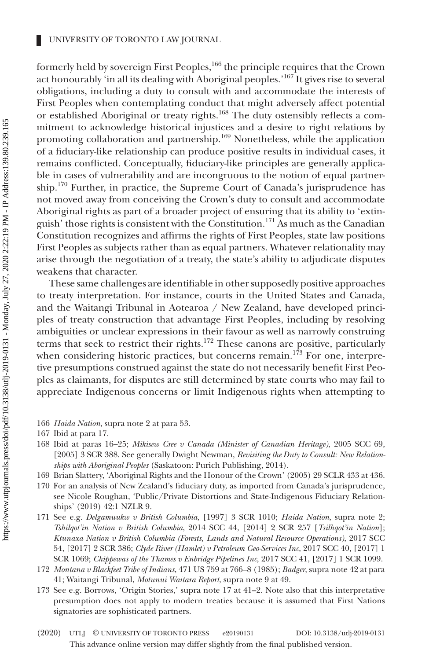formerly held by sovereign First Peoples,<sup>166</sup> the principle requires that the Crown act honourably 'in all its dealing with Aboriginal peoples.<sup>167</sup> It gives rise to several obligations, including a duty to consult with and accommodate the interests of First Peoples when contemplating conduct that might adversely affect potential or established Aboriginal or treaty rights.<sup>168</sup> The duty ostensibly reflects a commitment to acknowledge historical injustices and a desire to right relations by promoting collaboration and partnership.<sup>169</sup> Nonetheless, while the application of a fiduciary-like relationship can produce positive results in individual cases, it remains conflicted. Conceptually, fiduciary-like principles are generally applicable in cases of vulnerability and are incongruous to the notion of equal partnership.<sup>170</sup> Further, in practice, the Supreme Court of Canada's jurisprudence has not moved away from conceiving the Crown's duty to consult and accommodate Aboriginal rights as part of a broader project of ensuring that its ability to 'extinguish' those rights is consistent with the Constitution.<sup>171</sup> As much as the Canadian Constitution recognizes and affirms the rights of First Peoples, state law positions First Peoples as subjects rather than as equal partners. Whatever relationality may arise through the negotiation of a treaty, the state's ability to adjudicate disputes weakens that character.

These same challenges are identifiable in other supposedly positive approaches to treaty interpretation. For instance, courts in the United States and Canada, and the Waitangi Tribunal in Aotearoa / New Zealand, have developed principles of treaty construction that advantage First Peoples, including by resolving ambiguities or unclear expressions in their favour as well as narrowly construing terms that seek to restrict their rights.<sup>172</sup> These canons are positive, particularly when considering historic practices, but concerns remain.<sup>173</sup> For one, interpretive presumptions construed against the state do not necessarily benefit First Peoples as claimants, for disputes are still determined by state courts who may fail to appreciate Indigenous concerns or limit Indigenous rights when attempting to

- 166 *Haida Nation*, supra note 2 at para 53.
- 167 Ibid at para 17.
- 168 Ibid at paras 16–25; *Mikisew Cree v Canada (Minister of Canadian Heritage)*, 2005 SCC 69, [2005] 3 SCR 388. See generally Dwight Newman, *Revisiting the Duty to Consult: New Relationships with Aboriginal Peoples* (Saskatoon: Purich Publishing, 2014).
- 169 Brian Slattery, 'Aboriginal Rights and the Honour of the Crown' (2005) 29 SCLR 433 at 436.
- 170 For an analysis of New Zealand's fiduciary duty, as imported from Canada's jurisprudence, see Nicole Roughan, 'Public/Private Distortions and State-Indigenous Fiduciary Relationships' (2019) 42:1 NZLR 9.
- 171 See e.g. *Delgamuukw v British Columbia*, [1997] 3 SCR 1010; *Haida Nation*, supra note 2; *Tshilqot'in Nation v British Columbia*, 2014 SCC 44, [2014] 2 SCR 257 [*Tsilhqot'in Nation*]; *Ktunaxa Nation v British Columbia (Forests, Lands and Natural Resource Operations)*, 2017 SCC 54, [2017] 2 SCR 386; *Clyde River (Hamlet) v Petroleum Geo-Services Inc*, 2017 SCC 40, [2017] 1 SCR 1069; *Chippewas of the Thames v Enbridge Pipelines Inc*, 2017 SCC 41, [2017] 1 SCR 1099.
- 172 *Montana v Blackfeet Tribe of Indians*, 471 US 759 at 766–8 (1985); *Badger*, supra note 42 at para 41; Waitangi Tribunal, *Motunui Waitara Report*, supra note 9 at 49.
- 173 See e.g. Borrows, 'Origin Stories,' supra note 17 at 41–2. Note also that this interpretative presumption does not apply to modern treaties because it is assumed that First Nations signatories are sophisticated partners.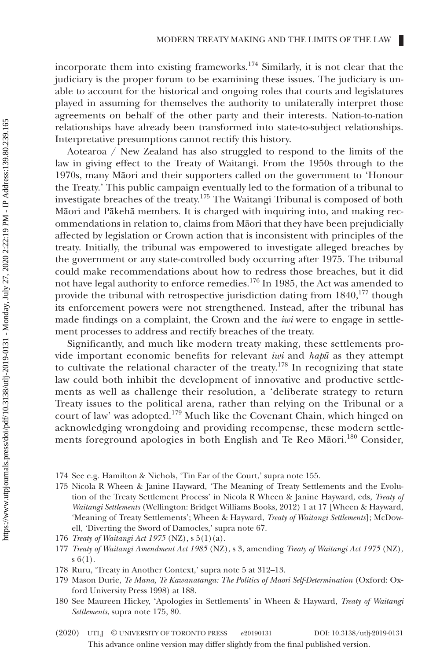incorporate them into existing frameworks.<sup>174</sup> Similarly, it is not clear that the judiciary is the proper forum to be examining these issues. The judiciary is unable to account for the historical and ongoing roles that courts and legislatures played in assuming for themselves the authority to unilaterally interpret those agreements on behalf of the other party and their interests. Nation-to-nation relationships have already been transformed into state-to-subject relationships. Interpretative presumptions cannot rectify this history.

Aotearoa / New Zealand has also struggled to respond to the limits of the law in giving effect to the Treaty of Waitangi. From the 1950s through to the 1970s, many Māori and their supporters called on the government to 'Honour the Treaty.' This public campaign eventually led to the formation of a tribunal to investigate breaches of the treaty.175 The Waitangi Tribunal is composed of both Māori and Pākehā members. It is charged with inquiring into, and making recommendations in relation to, claims from Māori that they have been prejudicially affected by legislation or Crown action that is inconsistent with principles of the treaty. Initially, the tribunal was empowered to investigate alleged breaches by the government or any state-controlled body occurring after 1975. The tribunal could make recommendations about how to redress those breaches, but it did not have legal authority to enforce remedies.176 In 1985, the Act was amended to provide the tribunal with retrospective jurisdiction dating from  $1840$ ,<sup>177</sup> though its enforcement powers were not strengthened. Instead, after the tribunal has made findings on a complaint, the Crown and the *iwi* were to engage in settlement processes to address and rectify breaches of the treaty.

Significantly, and much like modern treaty making, these settlements provide important economic benefits for relevant *iwi* and *hapū* as they attempt to cultivate the relational character of the treaty.<sup>178</sup> In recognizing that state law could both inhibit the development of innovative and productive settlements as well as challenge their resolution, a 'deliberate strategy to return Treaty issues to the political arena, rather than relying on the Tribunal or a court of law' was adopted.<sup>179</sup> Much like the Covenant Chain, which hinged on acknowledging wrongdoing and providing recompense, these modern settlements foreground apologies in both English and Te Reo Māori.<sup>180</sup> Consider,

- 180 See Maureen Hickey, 'Apologies in Settlements' in Wheen & Hayward, *Treaty of Waitangi Settlements*, supra note 175, 80.
- This advance online version may differ slightly from the final published version. (2020) UTLJ © UNIVERSITY OF TORONTO PRESS e20190131 DOI: 10.3138/utlj-2019-0131

<sup>174</sup> See e.g. Hamilton & Nichols, 'Tin Ear of the Court,' supra note 155.

<sup>175</sup> Nicola R Wheen & Janine Hayward, 'The Meaning of Treaty Settlements and the Evolution of the Treaty Settlement Process' in Nicola R Wheen & Janine Hayward, eds, *Treaty of Waitangi Settlements* (Wellington: Bridget Williams Books, 2012) 1 at 17 [Wheen & Hayward, 'Meaning of Treaty Settlements'; Wheen & Hayward, *Treaty of Waitangi Settlements*]; McDowell, 'Diverting the Sword of Damocles,' supra note 67.

<sup>176</sup> *Treaty of Waitangi Act 1975* (NZ), s 5(1)(a).

<sup>177</sup> *Treaty of Waitangi Amendment Act 1985* (NZ), s 3, amending *Treaty of Waitangi Act 1975* (NZ), s 6(1).

<sup>178</sup> Ruru, 'Treaty in Another Context,' supra note 5 at 312–13.

<sup>179</sup> Mason Durie, *Te Mana, Te Kawanatanga: The Politics of Maori Self-Determination* (Oxford: Oxford University Press 1998) at 188.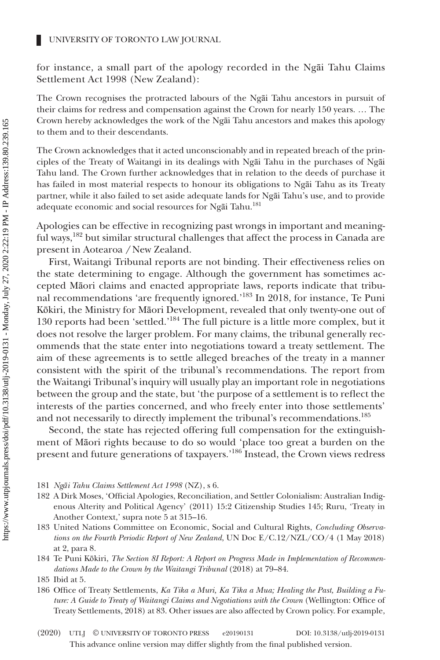for instance, a small part of the apology recorded in the Ngāi Tahu Claims Settlement Act 1998 (New Zealand):

The Crown recognises the protracted labours of the Ngāi Tahu ancestors in pursuit of their claims for redress and compensation against the Crown for nearly 150 years. … The Crown hereby acknowledges the work of the Ngāi Tahu ancestors and makes this apology to them and to their descendants.

The Crown acknowledges that it acted unconscionably and in repeated breach of the principles of the Treaty of Waitangi in its dealings with Ngāi Tahu in the purchases of Ngāi Tahu land. The Crown further acknowledges that in relation to the deeds of purchase it has failed in most material respects to honour its obligations to Ngāi Tahu as its Treaty partner, while it also failed to set aside adequate lands for Ngāi Tahu's use, and to provide adequate economic and social resources for Ngāi Tahu.<sup>181</sup>

Apologies can be effective in recognizing past wrongs in important and meaningful ways,<sup>182</sup> but similar structural challenges that affect the process in Canada are present in Aotearoa */* New Zealand.

First, Waitangi Tribunal reports are not binding. Their effectiveness relies on the state determining to engage. Although the government has sometimes accepted Māori claims and enacted appropriate laws, reports indicate that tribunal recommendations 'are frequently ignored.'<sup>183</sup> In 2018, for instance, Te Puni Kōkiri, the Ministry for Māori Development, revealed that only twenty-one out of 130 reports had been 'settled.'184 The full picture is a little more complex, but it does not resolve the larger problem. For many claims, the tribunal generally recommends that the state enter into negotiations toward a treaty settlement. The aim of these agreements is to settle alleged breaches of the treaty in a manner consistent with the spirit of the tribunal's recommendations. The report from the Waitangi Tribunal's inquiry will usually play an important role in negotiations between the group and the state, but 'the purpose of a settlement is to reflect the interests of the parties concerned, and who freely enter into those settlements' and not necessarily to directly implement the tribunal's recommendations.<sup>185</sup>

Second, the state has rejected offering full compensation for the extinguishment of Māori rights because to do so would 'place too great a burden on the present and future generations of taxpayers.'<sup>186</sup> Instead, the Crown views redress

181 *Ngāi Tahu Claims Settlement Act 1998* (NZ), s 6.

- 182 A Dirk Moses, 'Official Apologies, Reconciliation, and Settler Colonialism: Australian Indigenous Alterity and Political Agency' (2011) 15:2 Citizenship Studies 145; Ruru, 'Treaty in Another Context,' supra note 5 at 315–16.
- 183 United Nations Committee on Economic, Social and Cultural Rights, *Concluding Observations on the Fourth Periodic Report of New Zealand*, UN Doc E/C.12/NZL/CO/4 (1 May 2018) at 2, para 8.

184 Te Puni Kōkiri, *The Section 8I Report: A Report on Progress Made in Implementation of Recommendations Made to the Crown by the Waitangi Tribunal* (2018) at 79–84.

186 Office of Treaty Settlements, *Ka Tika a Muri, Ka Tika a Mua; Healing the Past, Building a Future: A Guide to Treaty of Waitangi Claims and Negotiations with the Crown* (Wellington: Office of Treaty Settlements, 2018) at 83. Other issues are also affected by Crown policy. For example,

<sup>185</sup> Ibid at 5.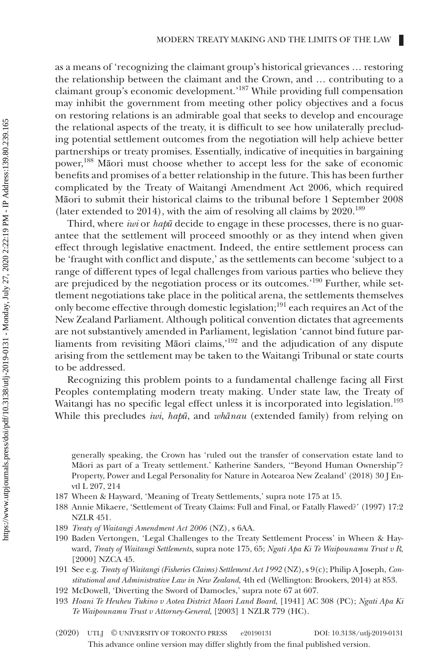as a means of 'recognizing the claimant group's historical grievances … restoring the relationship between the claimant and the Crown, and … contributing to a claimant group's economic development.'187 While providing full compensation may inhibit the government from meeting other policy objectives and a focus on restoring relations is an admirable goal that seeks to develop and encourage the relational aspects of the treaty, it is difficult to see how unilaterally precluding potential settlement outcomes from the negotiation will help achieve better partnerships or treaty promises. Essentially, indicative of inequities in bargaining power,188 Māori must choose whether to accept less for the sake of economic benefits and promises of a better relationship in the future. This has been further complicated by the Treaty of Waitangi Amendment Act 2006, which required Māori to submit their historical claims to the tribunal before 1 September 2008 (later extended to 2014), with the aim of resolving all claims by  $2020$ .<sup>189</sup>

Third, where *iwi* or *hapū* decide to engage in these processes, there is no guarantee that the settlement will proceed smoothly or as they intend when given effect through legislative enactment. Indeed, the entire settlement process can be 'fraught with conflict and dispute,' as the settlements can become 'subject to a range of different types of legal challenges from various parties who believe they are prejudiced by the negotiation process or its outcomes.'190 Further, while settlement negotiations take place in the political arena, the settlements themselves only become effective through domestic legislation;<sup>191</sup> each requires an Act of the New Zealand Parliament. Although political convention dictates that agreements are not substantively amended in Parliament, legislation 'cannot bind future parliaments from revisiting Māori claims,'192 and the adjudication of any dispute arising from the settlement may be taken to the Waitangi Tribunal or state courts to be addressed.

Recognizing this problem points to a fundamental challenge facing all First Peoples contemplating modern treaty making. Under state law, the Treaty of Waitangi has no specific legal effect unless it is incorporated into legislation.<sup>193</sup> While this precludes *iwi*, *hapū*, and *whānau* (extended family) from relying on

generally speaking, the Crown has 'ruled out the transfer of conservation estate land to Māori as part of a Treaty settlement.' Katherine Sanders, '"Beyond Human Ownership"? Property, Power and Legal Personality for Nature in Aotearoa New Zealand' (2018) 30 J Envtl L 207, 214

- 187 Wheen & Hayward, 'Meaning of Treaty Settlements,' supra note 175 at 15.
- 188 Annie Mikaere, 'Settlement of Treaty Claims: Full and Final, or Fatally Flawed?' (1997) 17:2 NZLR 451.
- 189 *Treaty of Waitangi Amendment Act 2006* (NZ), s 6AA.
- 190 Baden Vertongen, 'Legal Challenges to the Treaty Settlement Process' in Wheen & Hayward, *Treaty of Waitangi Settlements*, supra note 175, 65; *Ngati Apa Ki Te Waipounamu Trust v R*, [2000] NZCA 45.
- 191 See e.g. *Treaty of Waitangi (Fisheries Claims) Settlement Act 1992* (NZ), s 9(c); Philip A Joseph, *Constitutional and Administrative Law in New Zealand*, 4th ed (Wellington: Brookers, 2014) at 853.
- 192 McDowell, 'Diverting the Sword of Damocles,' supra note 67 at 607.
- 193 *Hoani Te Heuheu Tukino v Aotea District Maori Land Board*, [1941] AC 308 (PC); *Ngati Apa Ki Te Waipounamu Trust v Attorney-General*, [2003] 1 NZLR 779 (HC).
- This advance online version may differ slightly from the final published version. (2020) UTLJ © UNIVERSITY OF TORONTO PRESS e20190131 DOI: 10.3138/utlj-2019-0131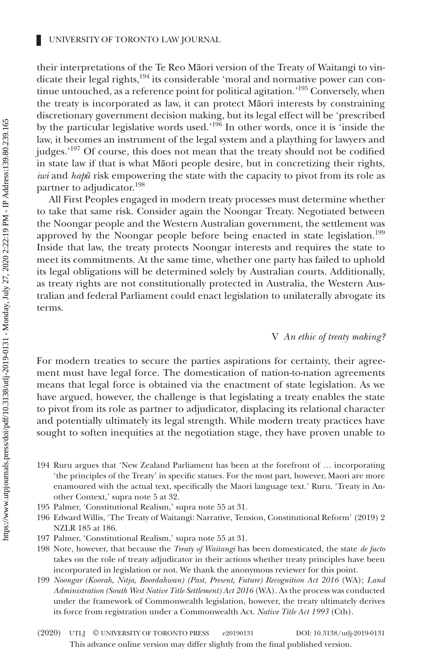their interpretations of the Te Reo Māori version of the Treaty of Waitangi to vindicate their legal rights,<sup>194</sup> its considerable 'moral and normative power can continue untouched, as a reference point for political agitation.'195 Conversely, when the treaty is incorporated as law, it can protect Māori interests by constraining discretionary government decision making, but its legal effect will be 'prescribed by the particular legislative words used.<sup>196</sup> In other words, once it is 'inside the law, it becomes an instrument of the legal system and a plaything for lawyers and judges.'<sup>197</sup> Of course, this does not mean that the treaty should not be codified in state law if that is what Māori people desire, but in concretizing their rights, *iwi* and *hap***ū** risk empowering the state with the capacity to pivot from its role as partner to adjudicator.<sup>198</sup>

All First Peoples engaged in modern treaty processes must determine whether to take that same risk. Consider again the Noongar Treaty. Negotiated between the Noongar people and the Western Australian government, the settlement was approved by the Noongar people before being enacted in state legislation.<sup>199</sup> Inside that law, the treaty protects Noongar interests and requires the state to meet its commitments. At the same time, whether one party has failed to uphold its legal obligations will be determined solely by Australian courts. Additionally, as treaty rights are not constitutionally protected in Australia, the Western Australian and federal Parliament could enact legislation to unilaterally abrogate its terms.

# V *An ethic of treaty making?*

For modern treaties to secure the parties aspirations for certainty, their agreement must have legal force. The domestication of nation-to-nation agreements means that legal force is obtained via the enactment of state legislation. As we have argued, however, the challenge is that legislating a treaty enables the state to pivot from its role as partner to adjudicator, displacing its relational character and potentially ultimately its legal strength. While modern treaty practices have sought to soften inequities at the negotiation stage, they have proven unable to

- 194 Ruru argues that 'New Zealand Parliament has been at the forefront of … incorporating 'the principles of the Treaty' in specific statues. For the most part, however, Maori are more enamoured with the actual text, specifically the Maori language text.' Ruru, 'Treaty in Another Context,' supra note 5 at 32.
- 195 Palmer, 'Constitutional Realism,' supra note 55 at 31.
- 196 Edward Willis, 'The Treaty of Waitangi: Narrative, Tension, Constitutional Reform' (2019) 2 NZLR 185 at 186.
- 197 Palmer, 'Constitutional Realism,' supra note 55 at 31.
- 198 Note, however, that because the *Treaty of Waitangi* has been domesticated, the state *de facto* takes on the role of treaty adjudicator in their actions whether treaty principles have been incorporated in legislation or not. We thank the anonymous reviewer for this point.
- 199 *Noongar (Koorah, Nitja, Boordahwan) (Past, Present, Future) Recognition Act 2016* (WA); *Land Administration (South West Native Title Settlement) Act 2016* (WA). As the process was conducted under the framework of Commonwealth legislation, however, the treaty ultimately derives its force from registration under a Commonwealth Act. *Native Title Act 1993* (Cth).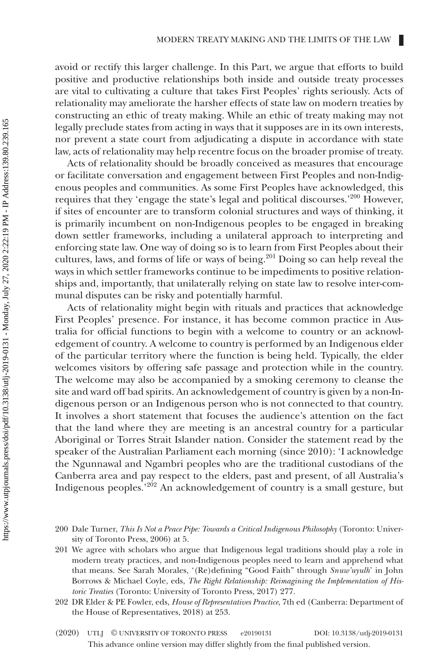avoid or rectify this larger challenge. In this Part, we argue that efforts to build positive and productive relationships both inside and outside treaty processes are vital to cultivating a culture that takes First Peoples' rights seriously. Acts of relationality may ameliorate the harsher effects of state law on modern treaties by constructing an ethic of treaty making. While an ethic of treaty making may not legally preclude states from acting in ways that it supposes are in its own interests, nor prevent a state court from adjudicating a dispute in accordance with state law, acts of relationality may help recentre focus on the broader promise of treaty.

Acts of relationality should be broadly conceived as measures that encourage or facilitate conversation and engagement between First Peoples and non-Indigenous peoples and communities. As some First Peoples have acknowledged, this requires that they 'engage the state's legal and political discourses.'200 However, if sites of encounter are to transform colonial structures and ways of thinking, it is primarily incumbent on non-Indigenous peoples to be engaged in breaking down settler frameworks, including a unilateral approach to interpreting and enforcing state law. One way of doing so is to learn from First Peoples about their cultures, laws, and forms of life or ways of being.<sup>201</sup> Doing so can help reveal the ways in which settler frameworks continue to be impediments to positive relationships and, importantly, that unilaterally relying on state law to resolve inter-communal disputes can be risky and potentially harmful.

Acts of relationality might begin with rituals and practices that acknowledge First Peoples' presence. For instance, it has become common practice in Australia for official functions to begin with a welcome to country or an acknowledgement of country. A welcome to country is performed by an Indigenous elder of the particular territory where the function is being held. Typically, the elder welcomes visitors by offering safe passage and protection while in the country. The welcome may also be accompanied by a smoking ceremony to cleanse the site and ward off bad spirits. An acknowledgement of country is given by a non-Indigenous person or an Indigenous person who is not connected to that country. It involves a short statement that focuses the audience's attention on the fact that the land where they are meeting is an ancestral country for a particular Aboriginal or Torres Strait Islander nation. Consider the statement read by the speaker of the Australian Parliament each morning (since 2010): 'I acknowledge the Ngunnawal and Ngambri peoples who are the traditional custodians of the Canberra area and pay respect to the elders, past and present, of all Australia's Indigenous peoples.'202 An acknowledgement of country is a small gesture, but

<sup>200</sup> Dale Turner, *This Is Not a Peace Pipe: Towards a Critical Indigenous Philosophy* (Toronto: University of Toronto Press, 2006) at 5.

<sup>201</sup> We agree with scholars who argue that Indigenous legal traditions should play a role in modern treaty practices, and non-Indigenous peoples need to learn and apprehend what that means. See Sarah Morales, '(Re)defining "Good Faith" through *Snuw'uyulh*' in John Borrows & Michael Coyle, eds, *The Right Relationship: Reimagining the Implementation of Historic Treaties* (Toronto: University of Toronto Press, 2017) 277.

<sup>202</sup> DR Elder & PE Fowler, eds, *House of Representatives Practice*, 7th ed (Canberra: Department of the House of Representatives, 2018) at 253.

This advance online version may differ slightly from the final published version. (2020) UTLJ © UNIVERSITY OF TORONTO PRESS e20190131 DOI: 10.3138/utlj-2019-0131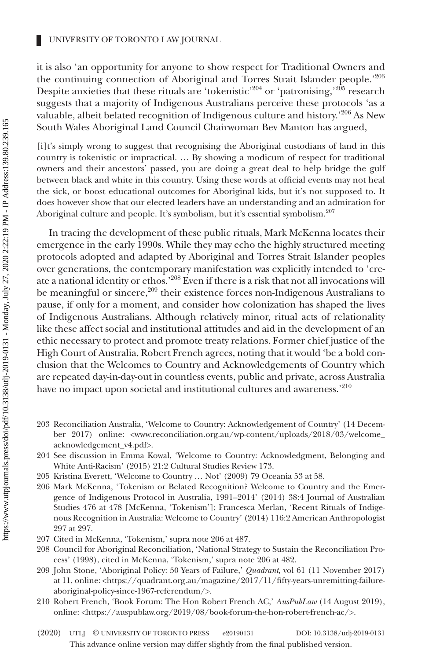it is also 'an opportunity for anyone to show respect for Traditional Owners and the continuing connection of Aboriginal and Torres Strait Islander people.'203 Despite anxieties that these rituals are 'tokenistic'<sup>204</sup> or 'patronising,'<sup>205</sup> research suggests that a majority of Indigenous Australians perceive these protocols 'as a valuable, albeit belated recognition of Indigenous culture and history.'206 As New South Wales Aboriginal Land Council Chairwoman Bev Manton has argued,

[i]t's simply wrong to suggest that recognising the Aboriginal custodians of land in this country is tokenistic or impractical. … By showing a modicum of respect for traditional owners and their ancestors' passed, you are doing a great deal to help bridge the gulf between black and white in this country. Using these words at official events may not heal the sick, or boost educational outcomes for Aboriginal kids, but it's not supposed to. It does however show that our elected leaders have an understanding and an admiration for Aboriginal culture and people. It's symbolism, but it's essential symbolism.<sup>207</sup>

In tracing the development of these public rituals, Mark McKenna locates their emergence in the early 1990s. While they may echo the highly structured meeting protocols adopted and adapted by Aboriginal and Torres Strait Islander peoples over generations, the contemporary manifestation was explicitly intended to 'create a national identity or ethos.'208 Even if there is a risk that not all invocations will be meaningful or sincere,<sup>209</sup> their existence forces non-Indigenous Australians to pause, if only for a moment, and consider how colonization has shaped the lives of Indigenous Australians. Although relatively minor, ritual acts of relationality like these affect social and institutional attitudes and aid in the development of an ethic necessary to protect and promote treaty relations. Former chief justice of the High Court of Australia, Robert French agrees, noting that it would 'be a bold conclusion that the Welcomes to Country and Acknowledgements of Country which are repeated day-in-day-out in countless events, public and private, across Australia have no impact upon societal and institutional cultures and awareness.'210

- 203 Reconciliation Australia, 'Welcome to Country: Acknowledgement of Country' (14 December 2017) online: [<www.reconciliation.org.au/wp-content/uploads/2018/03/welcome\\_](http://www.reconciliation.org.au/wp-content/uploads/2018/03/welcome_acknowledgement_v4.pdf) [acknowledgement\\_v4.pdf](http://www.reconciliation.org.au/wp-content/uploads/2018/03/welcome_acknowledgement_v4.pdf)>.
- 204 See discussion in Emma Kowal, 'Welcome to Country: Acknowledgment, Belonging and White Anti-Racism' (2015) 21:2 Cultural Studies Review 173.
- 205 Kristina Everett, 'Welcome to Country … Not' (2009) 79 Oceania 53 at 58.
- 206 Mark McKenna, 'Tokenism or Belated Recognition? Welcome to Country and the Emergence of Indigenous Protocol in Australia, 1991–2014' (2014) 38:4 Journal of Australian Studies 476 at 478 [McKenna, 'Tokenism']; Francesca Merlan, 'Recent Rituals of Indigenous Recognition in Australia: Welcome to Country' (2014) 116:2 American Anthropologist 297 at 297.
- 207 Cited in McKenna, 'Tokenism,' supra note 206 at 487.
- 208 Council for Aboriginal Reconciliation, 'National Strategy to Sustain the Reconciliation Process' (1998), cited in McKenna, 'Tokenism,' supra note 206 at 482.
- 209 John Stone, 'Aboriginal Policy: 50 Years of Failure,' *Quadrant*, vol 61 (11 November 2017) at 11, online: <[https://quadrant.org.au/magazine/2017/11/fifty-years-unremitting-failure](https://quadrant.org.au/magazine/2017/11/fifty-years-unremitting-failure-aboriginal-policy-since-1967-referendum/)[aboriginal-policy-since-1967-referendum/>](https://quadrant.org.au/magazine/2017/11/fifty-years-unremitting-failure-aboriginal-policy-since-1967-referendum/).
- 210 Robert French, 'Book Forum: The Hon Robert French AC,' *AusPubLaw* (14 August 2019), online: [<https://auspublaw.org/2019/08/book-forum-the-hon-robert-french-ac/](https://auspublaw.org/2019/08/book-forum-the-hon-robert-french-ac/)>.
- This advance online version may differ slightly from the final published version. (2020) UTLJ © UNIVERSITY OF TORONTO PRESS e20190131 DOI: 10.3138/utlj-2019-0131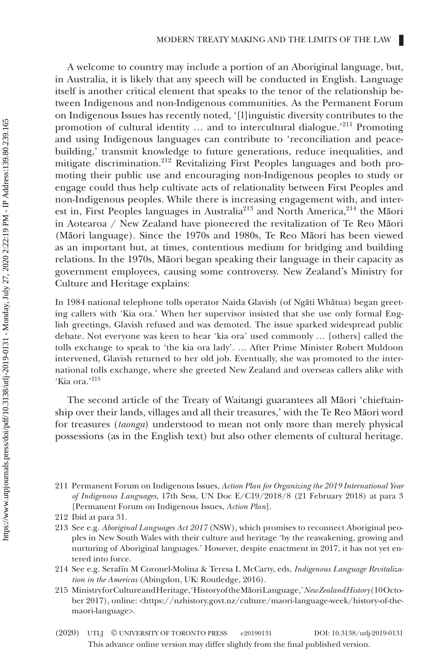A welcome to country may include a portion of an Aboriginal language, but, in Australia, it is likely that any speech will be conducted in English. Language itself is another critical element that speaks to the tenor of the relationship between Indigenous and non-Indigenous communities. As the Permanent Forum on Indigenous Issues has recently noted, '[l]inguistic diversity contributes to the promotion of cultural identity ... and to intercultural dialogue.'<sup>211</sup> Promoting and using Indigenous languages can contribute to 'reconciliation and peacebuilding,' transmit knowledge to future generations, reduce inequalities, and mitigate discrimination.212 Revitalizing First Peoples languages and both promoting their public use and encouraging non-Indigenous peoples to study or engage could thus help cultivate acts of relationality between First Peoples and non-Indigenous peoples. While there is increasing engagement with, and interest in, First Peoples languages in Australia<sup>213</sup> and North America,<sup>214</sup> the Māori in Aotearoa / New Zealand have pioneered the revitalization of Te Reo Māori (Māori language). Since the 1970s and 1980s, Te Reo Māori has been viewed as an important but, at times, contentious medium for bridging and building relations. In the 1970s, Māori began speaking their language in their capacity as government employees, causing some controversy. New Zealand's Ministry for Culture and Heritage explains:

In 1984 national telephone tolls operator Naida Glavish (of Ngāti Whātua) began greeting callers with 'Kia ora.' When her supervisor insisted that she use only formal English greetings, Glavish refused and was demoted. The issue sparked widespread public debate. Not everyone was keen to hear 'kia ora' used commonly … [others] called the tolls exchange to speak to 'the kia ora lady'. … After Prime Minister Robert Muldoon intervened, Glavish returned to her old job. Eventually, she was promoted to the international tolls exchange, where she greeted New Zealand and overseas callers alike with 'Kia ora.'215

The second article of the Treaty of Waitangi guarantees all Māori 'chieftainship over their lands, villages and all their treasures,' with the Te Reo Māori word for treasures (*taonga*) understood to mean not only more than merely physical possessions (as in the English text) but also other elements of cultural heritage.

211 Permanent Forum on Indigenous Issues, *Action Plan for Organizing the 2019 International Year of Indigenous Languages*, 17th Sess, UN Doc E/C19/2018/8 (21 February 2018) at para 3 [Permanent Forum on Indigenous Issues, *Action Plan*].

- 213 See e.g. *Aboriginal Languages Act 2017* (NSW), which promises to reconnect Aboriginal peoples in New South Wales with their culture and heritage 'by the reawakening, growing and nurturing of Aboriginal languages.' However, despite enactment in 2017, it has not yet entered into force.
- 214 See e.g. Serafín M Coronel-Molina & Teresa L McCarty, eds, *Indigenous Language Revitalization in the Americas* (Abingdon, UK: Routledge, 2016).
- 215 Ministry for Culture and Heritage, 'History of the Māori Language,' *New Zealand History* (10 October 2017), online: [<https://nzhistory.govt.nz/culture/maori-language-week/history-of-the](https://nzhistory.govt.nz/culture/maori-language-week/history-of-the-maori-language)[maori-language](https://nzhistory.govt.nz/culture/maori-language-week/history-of-the-maori-language)>.
- This advance online version may differ slightly from the final published version. (2020) UTLJ © UNIVERSITY OF TORONTO PRESS e20190131 DOI: 10.3138/utlj-2019-0131

<sup>212</sup> Ibid at para 31.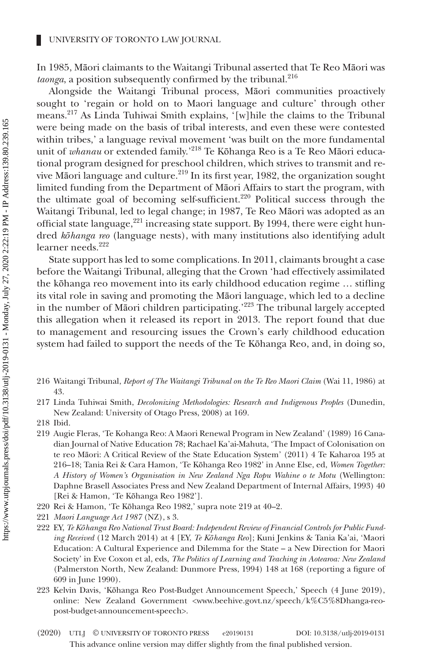In 1985, Māori claimants to the Waitangi Tribunal asserted that Te Reo Māori was taonga, a position subsequently confirmed by the tribunal.<sup>216</sup>

Alongside the Waitangi Tribunal process, Māori communities proactively sought to 'regain or hold on to Maori language and culture' through other means.<sup>217</sup> As Linda Tuhiwai Smith explains, '[w]hile the claims to the Tribunal were being made on the basis of tribal interests, and even these were contested within tribes,' a language revival movement 'was built on the more fundamental unit of *whanau* or extended family.'<sup>218</sup> Te Kōhanga Reo is a Te Reo Māori educational program designed for preschool children, which strives to transmit and revive Māori language and culture.<sup>219</sup> In its first year, 1982, the organization sought limited funding from the Department of Māori Affairs to start the program, with the ultimate goal of becoming self-sufficient.<sup>220</sup> Political success through the Waitangi Tribunal, led to legal change; in 1987, Te Reo Māori was adopted as an official state language, $221$  increasing state support. By 1994, there were eight hundred *kōhanga reo* (language nests), with many institutions also identifying adult learner needs.<sup>222</sup>

State support has led to some complications. In 2011, claimants brought a case before the Waitangi Tribunal, alleging that the Crown 'had effectively assimilated the kōhanga reo movement into its early childhood education regime … stifling its vital role in saving and promoting the Māori language, which led to a decline in the number of Māori children participating.<sup>223</sup> The tribunal largely accepted this allegation when it released its report in 2013. The report found that due to management and resourcing issues the Crown's early childhood education system had failed to support the needs of the Te Kōhanga Reo, and, in doing so,

- 216 Waitangi Tribunal, *Report of The Waitangi Tribunal on the Te Reo Maori Claim* (Wai 11, 1986) at 43.
- 217 Linda Tuhiwai Smith, *Decolonizing Methodologies: Research and Indigenous Peoples* (Dunedin, New Zealand: University of Otago Press, 2008) at 169.
- 218 Ibid.
- 219 Augie Fleras, 'Te Kohanga Reo: A Maori Renewal Program in New Zealand' (1989) 16 Canadian Journal of Native Education 78; Rachael Ka'ai-Mahuta, 'The Impact of Colonisation on te reo Māori: A Critical Review of the State Education System' (2011) 4 Te Kaharoa 195 at 216–18; Tania Rei & Cara Hamon, 'Te Kōhanga Reo 1982' in Anne Else, ed, *Women Together: A History of Women's Organisation in New Zealand Nga Ropu Wahine o te Motu* (Wellington: Daphne Brasell Associates Press and New Zealand Department of Internal Affairs, 1993) 40 [Rei & Hamon, 'Te Kōhanga Reo 1982'].
- 220 Rei & Hamon, 'Te Kōhanga Reo 1982,' supra note 219 at 40–2.
- 221 *Maori Language Act 1987* (NZ), s 3.
- 222 EY, *Te Kōhanga Reo National Trust Board: Independent Review of Financial Controls for Public Funding Received* (12 March 2014) at 4 [EY, *Te Kōhanga Reo*]; Kuni Jenkins & Tania Ka'ai, 'Maori Education: A Cultural Experience and Dilemma for the State – a New Direction for Maori Society' in Eve Coxon et al, eds, *The Politics of Learning and Teaching in Aotearoa: New Zealand* (Palmerston North, New Zealand: Dunmore Press, 1994) 148 at 168 (reporting a figure of 609 in June 1990).
- 223 Kelvin Davis, 'Kōhanga Reo Post-Budget Announcement Speech,' Speech (4 June 2019), online: New Zealand Government [<www.beehive.govt.nz/speech/k%C5%8Dhanga-reo](http://www.beehive.govt.nz/speech/k%C5%8Dhanga-reo-post-budget-announcement-speech)[post-budget-announcement-speech](http://www.beehive.govt.nz/speech/k%C5%8Dhanga-reo-post-budget-announcement-speech)>.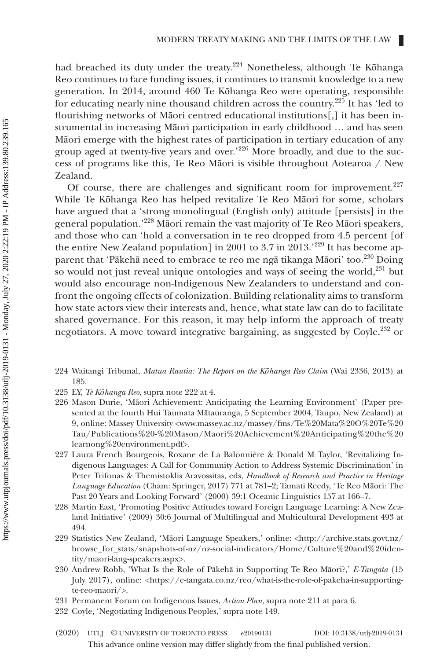had breached its duty under the treaty.<sup>224</sup> Nonetheless, although Te Kōhanga Reo continues to face funding issues, it continues to transmit knowledge to a new generation. In 2014, around 460 Te Kōhanga Reo were operating, responsible for educating nearly nine thousand children across the country.<sup>225</sup> It has 'led to flourishing networks of Māori centred educational institutions[,] it has been instrumental in increasing Māori participation in early childhood … and has seen Māori emerge with the highest rates of participation in tertiary education of any group aged at twenty-five years and over.'226 More broadly, and due to the success of programs like this, Te Reo Māori is visible throughout Aotearoa / New Zealand.

Of course, there are challenges and significant room for improvement.<sup>227</sup> While Te Kōhanga Reo has helped revitalize Te Reo Māori for some, scholars have argued that a 'strong monolingual (English only) attitude [persists] in the general population.'228 Māori remain the vast majority of Te Reo Māori speakers, and those who can 'hold a conversation in te reo dropped from 4.5 percent [of the entire New Zealand population] in 2001 to 3.7 in 2013.<sup>229</sup> It has become apparent that 'Pākehā need to embrace te reo me ngā tikanga Māori' too.<sup>230</sup> Doing so would not just reveal unique ontologies and ways of seeing the world,<sup>231</sup> but would also encourage non-Indigenous New Zealanders to understand and confront the ongoing effects of colonization. Building relationality aims to transform how state actors view their interests and, hence, what state law can do to facilitate shared governance. For this reason, it may help inform the approach of treaty negotiators. A move toward integrative bargaining, as suggested by Coyle,<sup>232</sup> or

- 224 Waitangi Tribunal, *Matua Rautia: The Report on the Kōhanga Reo Claim* (Wai 2336, 2013) at 185.
- 225 EY, *Te Kōhanga Reo*, supra note 222 at 4.
- 226 Mason Durie, 'Māori Achievement: Anticipating the Learning Environment' (Paper presented at the fourth Hui Taumata Mātauranga, 5 September 2004, Taupo, New Zealand) at 9, online: Massey University [<www.massey.ac.nz/massey/fms/Te%20Mata%20O%20Te%20](http://www.massey.ac.nz/massey/fms/Te%20Mata%20O%20Te%20Tau/Publications%20-%20Mason/Maori%20Achievement%20Anticipating%20the%20learnong%20environment.pdf) [Tau/Publications%20-%20Mason/Maori%20Achievement%20Anticipating%20the%20](http://www.massey.ac.nz/massey/fms/Te%20Mata%20O%20Te%20Tau/Publications%20-%20Mason/Maori%20Achievement%20Anticipating%20the%20learnong%20environment.pdf) [learnong%20environment.pdf>](http://www.massey.ac.nz/massey/fms/Te%20Mata%20O%20Te%20Tau/Publications%20-%20Mason/Maori%20Achievement%20Anticipating%20the%20learnong%20environment.pdf).
- 227 Laura French Bourgeois, Roxane de La Balonnière & Donald M Taylor, 'Revitalizing Indigenous Languages: A Call for Community Action to Address Systemic Discrimination' in Peter Trifonas & Themistoklis Aravossitas, eds, *Handbook of Research and Practice in Heritage Language Education* (Cham: Springer, 2017) 771 at 781–2; Tamati Reedy, 'Te Reo Māori: The Past 20 Years and Looking Forward' (2000) 39:1 Oceanic Linguistics 157 at 166–7.
- 228 Martin East, 'Promoting Positive Attitudes toward Foreign Language Learning: A New Zealand Initiative' (2009) 30:6 Journal of Multilingual and Multicultural Development 493 at 494.
- 229 Statistics New Zealand, 'Māori Language Speakers,' online: [<http://archive.stats.govt.nz/](http://archive.stats.govt.nz/browse_for_stats/snapshots-of-nz/nz-social-indicators/Home/Culture%20and%20identity/maori-lang-speakers.aspx) [browse\\_for\\_stats/snapshots-of-nz/nz-social-indicators/Home/Culture%20and%20iden](http://archive.stats.govt.nz/browse_for_stats/snapshots-of-nz/nz-social-indicators/Home/Culture%20and%20identity/maori-lang-speakers.aspx)[tity/maori-lang-speakers.aspx>](http://archive.stats.govt.nz/browse_for_stats/snapshots-of-nz/nz-social-indicators/Home/Culture%20and%20identity/maori-lang-speakers.aspx).
- 230 Andrew Robb, 'What Is the Role of Pākehā in Supporting Te Reo Māori?,' *E-Tangata* (15 July 2017), online: <[https://e-tangata.co.nz/reo/what-is-the-role-of-pakeha-in-supporting](https://e-tangata.co.nz/reo/what-is-the-role-of-pakeha-in-supporting-te-reo-maori/)[te-reo-maori/](https://e-tangata.co.nz/reo/what-is-the-role-of-pakeha-in-supporting-te-reo-maori/)>.
- 231 Permanent Forum on Indigenous Issues, *Action Plan*, supra note 211 at para 6.
- 232 Coyle, 'Negotiating Indigenous Peoples,' supra note 149.
- This advance online version may differ slightly from the final published version. (2020) UTLJ © UNIVERSITY OF TORONTO PRESS e20190131 DOI: 10.3138/utlj-2019-0131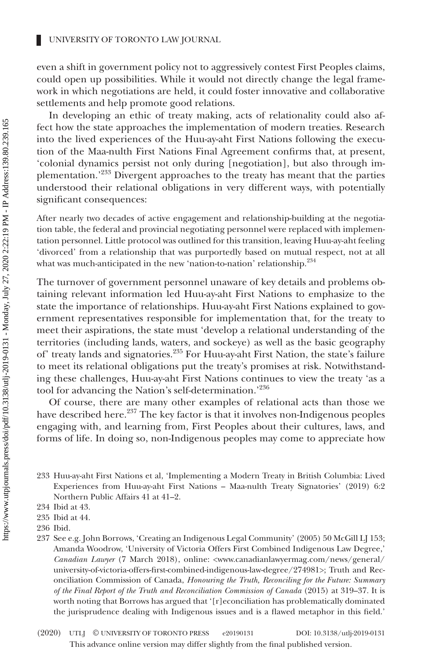even a shift in government policy not to aggressively contest First Peoples claims, could open up possibilities. While it would not directly change the legal framework in which negotiations are held, it could foster innovative and collaborative settlements and help promote good relations.

In developing an ethic of treaty making, acts of relationality could also affect how the state approaches the implementation of modern treaties. Research into the lived experiences of the Huu-ay-aht First Nations following the execution of the Maa-nulth First Nations Final Agreement confirms that, at present, 'colonial dynamics persist not only during [negotiation], but also through implementation.'233 Divergent approaches to the treaty has meant that the parties understood their relational obligations in very different ways, with potentially significant consequences:

After nearly two decades of active engagement and relationship-building at the negotiation table, the federal and provincial negotiating personnel were replaced with implementation personnel. Little protocol was outlined for this transition, leaving Huu-ay-aht feeling 'divorced' from a relationship that was purportedly based on mutual respect, not at all what was much-anticipated in the new 'nation-to-nation' relationship.<sup>234</sup>

The turnover of government personnel unaware of key details and problems obtaining relevant information led Huu-ay-aht First Nations to emphasize to the state the importance of relationships. Huu-ay-aht First Nations explained to government representatives responsible for implementation that, for the treaty to meet their aspirations, the state must 'develop a relational understanding of the territories (including lands, waters, and sockeye) as well as the basic geography of' treaty lands and signatories.<sup>235</sup> For Huu-ay-aht First Nation, the state's failure to meet its relational obligations put the treaty's promises at risk. Notwithstanding these challenges, Huu-ay-aht First Nations continues to view the treaty 'as a tool for advancing the Nation's self-determination.'236

Of course, there are many other examples of relational acts than those we have described here.<sup>237</sup> The key factor is that it involves non-Indigenous peoples engaging with, and learning from, First Peoples about their cultures, laws, and forms of life. In doing so, non-Indigenous peoples may come to appreciate how

233 Huu-ay-aht First Nations et al, 'Implementing a Modern Treaty in British Columbia: Lived Experiences from Huu-ay-aht First Nations – Maa-nulth Treaty Signatories' (2019) 6:2 Northern Public Affairs 41 at 41–2.

<sup>234</sup> Ibid at 43.

<sup>235</sup> Ibid at 44.

<sup>236</sup> Ibid.

<sup>237</sup> See e.g. John Borrows, 'Creating an Indigenous Legal Community' (2005) 50 McGill LJ 153; Amanda Woodrow, 'University of Victoria Offers First Combined Indigenous Law Degree,' *Canadian Lawyer* (7 March 2018), online: <www.canadianlawyermag.com/news/general/ university-of-victoria-offers-first-combined-indigenous-law-degree/274981>; Truth and Reconciliation Commission of Canada, *Honouring the Truth, Reconciling for the Future: Summary of the Final Report of the Truth and Reconciliation Commission of Canada* (2015) at 319–37. It is worth noting that Borrows has argued that '[r]econciliation has problematically dominated the jurisprudence dealing with Indigenous issues and is a flawed metaphor in this field.'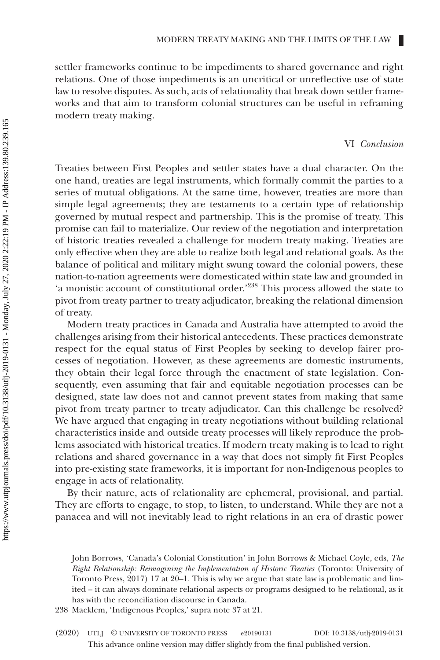settler frameworks continue to be impediments to shared governance and right relations. One of those impediments is an uncritical or unreflective use of state law to resolve disputes. As such, acts of relationality that break down settler frameworks and that aim to transform colonial structures can be useful in reframing modern treaty making.

# VI *Conclusion*

Treaties between First Peoples and settler states have a dual character. On the one hand, treaties are legal instruments, which formally commit the parties to a series of mutual obligations. At the same time, however, treaties are more than simple legal agreements; they are testaments to a certain type of relationship governed by mutual respect and partnership. This is the promise of treaty. This promise can fail to materialize. Our review of the negotiation and interpretation of historic treaties revealed a challenge for modern treaty making. Treaties are only effective when they are able to realize both legal and relational goals. As the balance of political and military might swung toward the colonial powers, these nation-to-nation agreements were domesticated within state law and grounded in 'a monistic account of constitutional order.'<sup>238</sup> This process allowed the state to pivot from treaty partner to treaty adjudicator, breaking the relational dimension of treaty.

Modern treaty practices in Canada and Australia have attempted to avoid the challenges arising from their historical antecedents. These practices demonstrate respect for the equal status of First Peoples by seeking to develop fairer processes of negotiation. However, as these agreements are domestic instruments, they obtain their legal force through the enactment of state legislation. Consequently, even assuming that fair and equitable negotiation processes can be designed, state law does not and cannot prevent states from making that same pivot from treaty partner to treaty adjudicator. Can this challenge be resolved? We have argued that engaging in treaty negotiations without building relational characteristics inside and outside treaty processes will likely reproduce the problems associated with historical treaties. If modern treaty making is to lead to right relations and shared governance in a way that does not simply fit First Peoples into pre-existing state frameworks, it is important for non-Indigenous peoples to engage in acts of relationality.

By their nature, acts of relationality are ephemeral, provisional, and partial. They are efforts to engage, to stop, to listen, to understand. While they are not a panacea and will not inevitably lead to right relations in an era of drastic power

John Borrows, 'Canada's Colonial Constitution' in John Borrows & Michael Coyle, eds, *The Right Relationship: Reimagining the Implementation of Historic Treaties* (Toronto: University of Toronto Press, 2017) 17 at 20–1. This is why we argue that state law is problematic and limited – it can always dominate relational aspects or programs designed to be relational, as it has with the reconciliation discourse in Canada.

<sup>238</sup> Macklem, 'Indigenous Peoples,' supra note 37 at 21.

This advance online version may differ slightly from the final published version. (2020) UTLJ © UNIVERSITY OF TORONTO PRESS e20190131 DOI: 10.3138/utlj-2019-0131